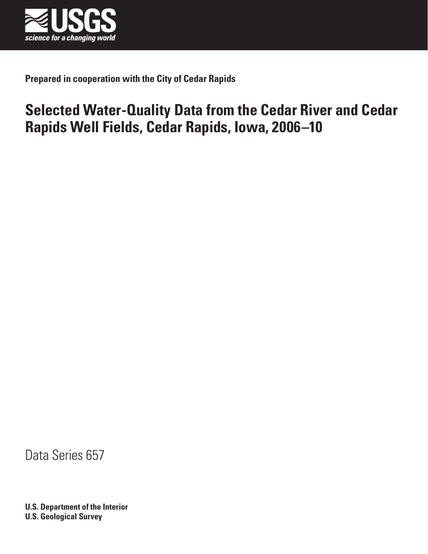

**Prepared in cooperation with the City of Cedar Rapids**

# **Selected Water-Quality Data from the Cedar River and Cedar Rapids Well Fields, Cedar Rapids, Iowa, 2006–10**

Data Series 657

**U.S. Department of the Interior U.S. Geological Survey**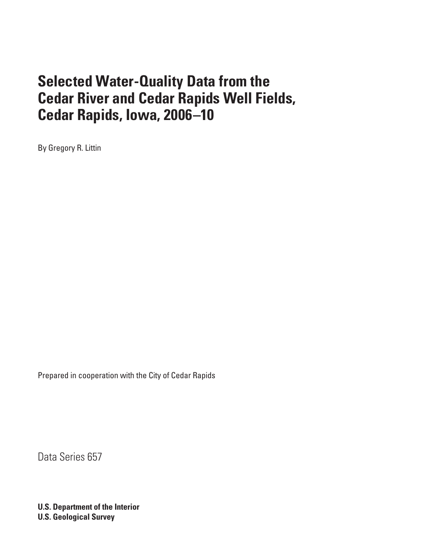By Gregory R. Littin

Prepared in cooperation with the City of Cedar Rapids

Data Series 657

**U.S. Department of the Interior U.S. Geological Survey**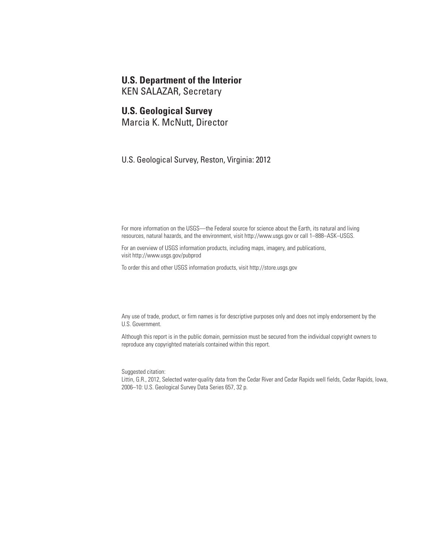## **U.S. Department of the Interior**

KEN SALAZAR, Secretary

## **U.S. Geological Survey**

Marcia K. McNutt, Director

U.S. Geological Survey, Reston, Virginia: 2012

For more information on the USGS—the Federal source for science about the Earth, its natural and living resources, natural hazards, and the environment, visit <http://www.usgs.gov>or call 1–888–ASK–USGS.

For an overview of USGS information products, including maps, imagery, and publications, visit<http://www.usgs.gov/pubprod>

To order this and other USGS information products, visit<http://store.usgs.gov>

Any use of trade, product, or firm names is for descriptive purposes only and does not imply endorsement by the U.S. Government.

Although this report is in the public domain, permission must be secured from the individual copyright owners to reproduce any copyrighted materials contained within this report.

Suggested citation:

Littin, G.R., 2012, Selected water-quality data from the Cedar River and Cedar Rapids well fields, Cedar Rapids, Iowa, 2006–10: U.S. Geological Survey Data Series 657, 32 p.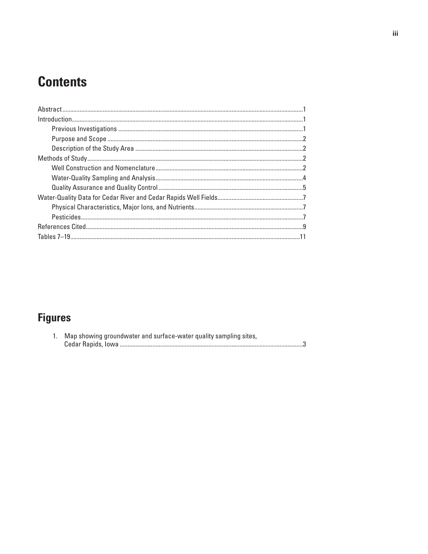# **Contents**

# **Figures**

| 1. Map showing groundwater and surface-water quality sampling sites, |
|----------------------------------------------------------------------|
|                                                                      |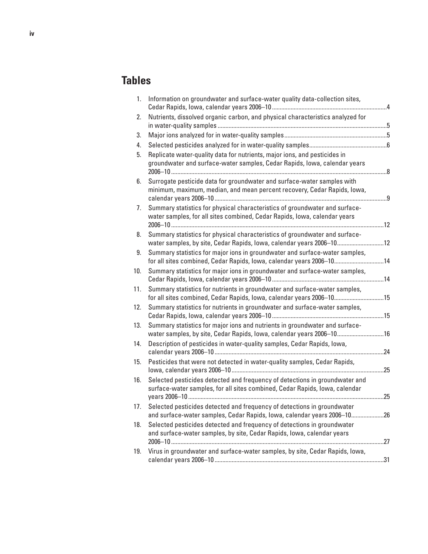## **Tables**

| 1.  | Information on groundwater and surface-water quality data-collection sites,                                                                                |  |
|-----|------------------------------------------------------------------------------------------------------------------------------------------------------------|--|
| 2.  | Nutrients, dissolved organic carbon, and physical characteristics analyzed for                                                                             |  |
| 3.  |                                                                                                                                                            |  |
| 4.  |                                                                                                                                                            |  |
| 5.  | Replicate water-quality data for nutrients, major ions, and pesticides in<br>groundwater and surface-water samples, Cedar Rapids, Iowa, calendar years     |  |
| 6.  | Surrogate pesticide data for groundwater and surface-water samples with<br>minimum, maximum, median, and mean percent recovery, Cedar Rapids, Iowa,        |  |
| 7.  | Summary statistics for physical characteristics of groundwater and surface-<br>water samples, for all sites combined, Cedar Rapids, Iowa, calendar years   |  |
| 8.  | Summary statistics for physical characteristics of groundwater and surface-<br>water samples, by site, Cedar Rapids, Iowa, calendar years 2006-1012        |  |
| 9.  | Summary statistics for major ions in groundwater and surface-water samples,<br>for all sites combined, Cedar Rapids, Iowa, calendar years 2006-1014        |  |
| 10. | Summary statistics for major ions in groundwater and surface-water samples,                                                                                |  |
| 11. | Summary statistics for nutrients in groundwater and surface-water samples,<br>for all sites combined, Cedar Rapids, Iowa, calendar years 2006-1015         |  |
| 12. | Summary statistics for nutrients in groundwater and surface-water samples,                                                                                 |  |
| 13. | Summary statistics for major ions and nutrients in groundwater and surface-<br>water samples, by site, Cedar Rapids, Iowa, calendar years 2006-1016        |  |
| 14. | Description of pesticides in water-quality samples, Cedar Rapids, Iowa,                                                                                    |  |
| 15. | Pesticides that were not detected in water-quality samples, Cedar Rapids,                                                                                  |  |
| 16. | Selected pesticides detected and frequency of detections in groundwater and<br>surface-water samples, for all sites combined, Cedar Rapids, Iowa, calendar |  |
| 17. | Selected pesticides detected and frequency of detections in groundwater<br>and surface-water samples, Cedar Rapids, Iowa, calendar years 2006-1026         |  |
| 18. | Selected pesticides detected and frequency of detections in groundwater<br>and surface-water samples, by site, Cedar Rapids, Iowa, calendar years          |  |
| 19. | Virus in groundwater and surface-water samples, by site, Cedar Rapids, Iowa,                                                                               |  |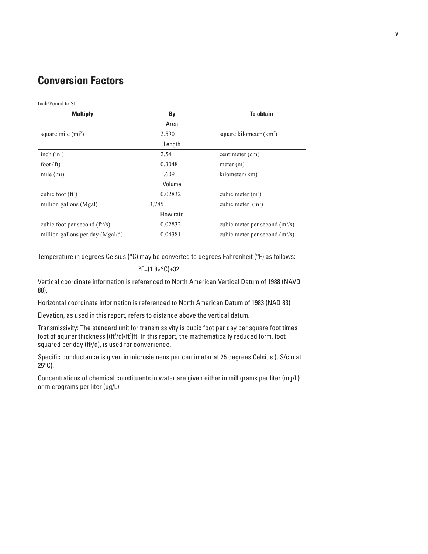## **Conversion Factors**

Inch/Pound to SI

| <b>Multiply</b>                  | By        | <b>To obtain</b>                    |
|----------------------------------|-----------|-------------------------------------|
|                                  | Area      |                                     |
| square mile $(m2)$               | 2.590     | square kilometer (km <sup>2</sup> ) |
|                                  | Length    |                                     |
| inch $(in.)$                     | 2.54      | centimeter (cm)                     |
| foot $({\rm ft})$                | 0.3048    | meter (m)                           |
| mile $(mi)$                      | 1.609     | kilometer (km)                      |
|                                  | Volume    |                                     |
| cubic foot $(ft^3)$              | 0.02832   | cubic meter $(m^3)$                 |
| million gallons (Mgal)           | 3,785     | cubic meter $(m3)$                  |
|                                  | Flow rate |                                     |
| cubic foot per second $(ft^3/s)$ | 0.02832   | cubic meter per second $(m^3/s)$    |
| million gallons per day (Mgal/d) | 0.04381   | cubic meter per second $(m^3/s)$    |

Temperature in degrees Celsius (°C) may be converted to degrees Fahrenheit (°F) as follows:

°F=(1.8×°C)+32

Vertical coordinate information is referenced to North American Vertical Datum of 1988 (NAVD 88).

Horizontal coordinate information is referenced to North American Datum of 1983 (NAD 83).

Elevation, as used in this report, refers to distance above the vertical datum.

Transmissivity: The standard unit for transmissivity is cubic foot per day per square foot times foot of aquifer thickness [(ft3/d)/ft<sup>2</sup>]ft. In this report, the mathematically reduced form, foot squared per day (ft<sup>2</sup>/d), is used for convenience.

Specific conductance is given in microsiemens per centimeter at 25 degrees Celsius (µS/cm at  $25^{\circ}$ C).

Concentrations of chemical constituents in water are given either in milligrams per liter (mg/L) or micrograms per liter (µg/L).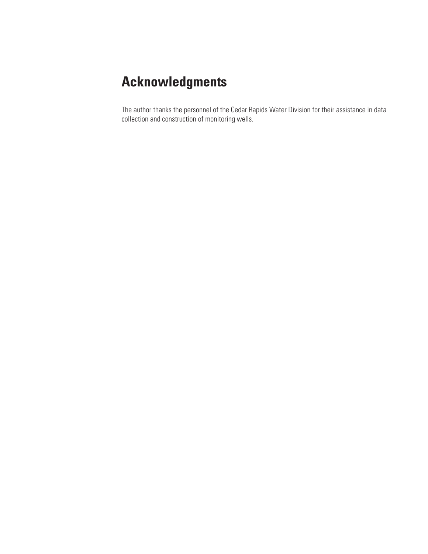# **Acknowledgments**

The author thanks the personnel of the Cedar Rapids Water Division for their assistance in data collection and construction of monitoring wells.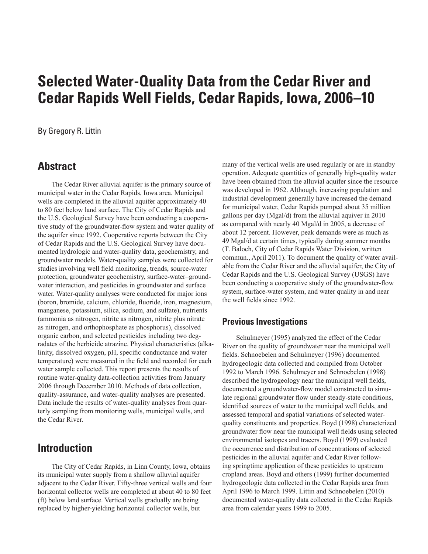### <span id="page-8-0"></span>By Gregory R. Littin

## **Abstract**

The Cedar River alluvial aquifer is the primary source of municipal water in the Cedar Rapids, Iowa area. Municipal wells are completed in the alluvial aquifer approximately 40 to 80 feet below land surface. The City of Cedar Rapids and the U.S. Geological Survey have been conducting a cooperative study of the groundwater-flow system and water quality of the aquifer since 1992. Cooperative reports between the City of Cedar Rapids and the U.S. Geological Survey have documented hydrologic and water-quality data, geochemistry, and groundwater models. Water-quality samples were collected for studies involving well field monitoring, trends, source-water protection, groundwater geochemistry, surface-water–groundwater interaction, and pesticides in groundwater and surface water. Water-quality analyses were conducted for major ions (boron, bromide, calcium, chloride, fluoride, iron, magnesium, manganese, potassium, silica, sodium, and sulfate), nutrients (ammonia as nitrogen, nitrite as nitrogen, nitrite plus nitrate as nitrogen, and orthophosphate as phosphorus), dissolved organic carbon, and selected pesticides including two degradates of the herbicide atrazine. Physical characteristics (alkalinity, dissolved oxygen, pH, specific conductance and water temperature) were measured in the field and recorded for each water sample collected. This report presents the results of routine water-quality data-collection activities from January 2006 through December 2010. Methods of data collection, quality-assurance, and water-quality analyses are presented. Data include the results of water-quality analyses from quarterly sampling from monitoring wells, municipal wells, and the Cedar River.

## **Introduction**

The City of Cedar Rapids, in Linn County, Iowa, obtains its municipal water supply from a shallow alluvial aquifer adjacent to the Cedar River. Fifty-three vertical wells and four horizontal collector wells are completed at about 40 to 80 feet (ft) below land surface. Vertical wells gradually are being replaced by higher-yielding horizontal collector wells, but

many of the vertical wells are used regularly or are in standby operation. Adequate quantities of generally high-quality water have been obtained from the alluvial aquifer since the resource was developed in 1962. Although, increasing population and industrial development generally have increased the demand for municipal water, Cedar Rapids pumped about 35 million gallons per day (Mgal/d) from the alluvial aquiver in 2010 as compared with nearly 40 Mgal/d in 2005, a decrease of about 12 percent. However, peak demands were as much as 49 Mgal/d at certain times, typically during summer months (T. Baloch, City of Cedar Rapids Water Division, written commun., April 2011). To document the quality of water available from the Cedar River and the alluvial aquifer, the City of Cedar Rapids and the U.S. Geological Survey (USGS) have been conducting a cooperative study of the groundwater-flow system, surface-water system, and water quality in and near the well fields since 1992.

#### **Previous Investigations**

Schulmeyer (1995) analyzed the effect of the Cedar River on the quality of groundwater near the municipal well fields. Schnoebelen and Schulmeyer (1996) documented hydrogeologic data collected and compiled from October 1992 to March 1996. Schulmeyer and Schnoebelen (1998) described the hydrogeology near the municipal well fields, documented a groundwater-flow model constructed to simulate regional groundwater flow under steady-state conditions, identified sources of water to the municipal well fields, and assessed temporal and spatial variations of selected waterquality constituents and properties. Boyd (1998) characterized groundwater flow near the municipal well fields using selected environmental isotopes and tracers. Boyd (1999) evaluated the occurrence and distribution of concentrations of selected pesticides in the alluvial aquifer and Cedar River following springtime application of these pesticides to upstream cropland areas. Boyd and others (1999) further documented hydrogeologic data collected in the Cedar Rapids area from April 1996 to March 1999. Littin and Schnoebelen (2010) documented water-quality data collected in the Cedar Rapids area from calendar years 1999 to 2005.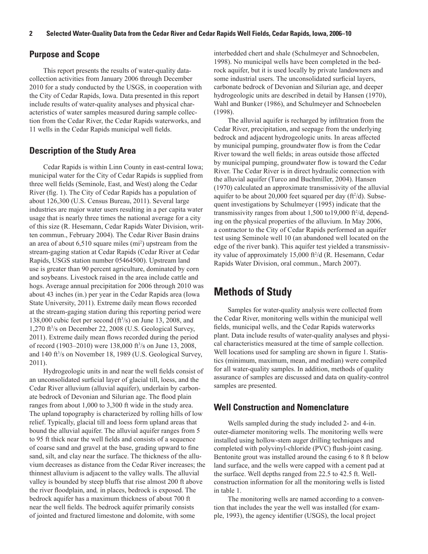#### <span id="page-9-0"></span>**Purpose and Scope**

This report presents the results of water-quality datacollection activities from January 2006 through December 2010 for a study conducted by the USGS, in cooperation with the City of Cedar Rapids, Iowa. Data presented in this report include results of water-quality analyses and physical characteristics of water samples measured during sample collection from the Cedar River, the Cedar Rapids waterworks, and 11 wells in the Cedar Rapids municipal well fields.

### **Description of the Study Area**

Cedar Rapids is within Linn County in east-central Iowa; municipal water for the City of Cedar Rapids is supplied from three well fields (Seminole, East, and West) along the Cedar River (fig. 1). The City of Cedar Rapids has a population of about 126,300 (U.S. Census Bureau, 2011). Several large industries are major water users resulting in a per capita water usage that is nearly three times the national average for a city of this size (R. Hesemann, Cedar Rapids Water Division, written commun., February 2004). The Cedar River Basin drains an area of about 6,510 square miles (mi<sup>2</sup>) upstream from the stream-gaging station at Cedar Rapids (Cedar River at Cedar Rapids, USGS station number 05464500). Upstream land use is greater than 90 percent agriculture, dominated by corn and soybeans. Livestock raised in the area include cattle and hogs. Average annual precipitation for 2006 through 2010 was about 43 inches (in.) per year in the Cedar Rapids area (Iowa State University, 2011). Extreme daily mean flows recorded at the stream-gaging station during this reporting period were 138,000 cubic feet per second  $(f_3^3/s)$  on June 13, 2008, and 1,270 ft3 /s on December 22, 2008 (U.S. Geological Survey, 2011). Extreme daily mean flows recorded during the period of record (1903–2010) were 138,000 ft<sup>3</sup> /s on June 13, 2008, and 140 ft3 /s on November 18, 1989 (U.S. Geological Survey, 2011).

Hydrogeologic units in and near the well fields consist of an unconsolidated surficial layer of glacial till, loess, and the Cedar River alluvium (alluvial aquifer), underlain by carbonate bedrock of Devonian and Silurian age. The flood plain ranges from about 1,000 to 3,300 ft wide in the study area. The upland topography is characterized by rolling hills of low relief. Typically, glacial till and loess form upland areas that bound the alluvial aquifer. The alluvial aquifer ranges from 5 to 95 ft thick near the well fields and consists of a sequence of coarse sand and gravel at the base, grading upward to fine sand, silt, and clay near the surface. The thickness of the alluvium decreases as distance from the Cedar River increases; the thinnest alluvium is adjacent to the valley walls. The alluvial valley is bounded by steep bluffs that rise almost 200 ft above the river floodplain, and*,* in places, bedrock is exposed. The bedrock aquifer has a maximum thickness of about 700 ft near the well fields. The bedrock aquifer primarily consists of jointed and fractured limestone and dolomite, with some

interbedded chert and shale (Schulmeyer and Schnoebelen, 1998). No municipal wells have been completed in the bedrock aquifer, but it is used locally by private landowners and some industrial users. The unconsolidated surficial layers, carbonate bedrock of Devonian and Silurian age, and deeper hydrogeologic units are described in detail by Hansen (1970), Wahl and Bunker (1986), and Schulmeyer and Schnoebelen (1998).

The alluvial aquifer is recharged by infiltration from the Cedar River, precipitation, and seepage from the underlying bedrock and adjacent hydrogeologic units. In areas affected by municipal pumping, groundwater flow is from the Cedar River toward the well fields; in areas outside those affected by municipal pumping, groundwater flow is toward the Cedar River. The Cedar River is in direct hydraulic connection with the alluvial aquifer (Turco and Buchmiller, 2004). Hansen (1970) calculated an approximate transmissivity of the alluvial aquifer to be about 20,000 feet squared per day (ft<sup>2</sup>/d). Subsequent investigations by Schulmeyer (1995) indicate that the transmissivity ranges from about 1,500 to19,000 ft<sup>2</sup>/d, depending on the physical properties of the alluvium. In May 2006, a contractor to the City of Cedar Rapids performed an aquifer test using Seminole well 10 (an abandoned well located on the edge of the river bank). This aquifer test yielded a transmissivity value of approximately 15,000 ft<sup>2</sup> /d (R. Hesemann, Cedar Rapids Water Division, oral commun., March 2007).

## **Methods of Study**

Samples for water-quality analysis were collected from the Cedar River, monitoring wells within the municipal well fields, municipal wells, and the Cedar Rapids waterworks plant. Data include results of water-quality analyses and physical characteristics measured at the time of sample collection. Well locations used for sampling are shown in figure 1. Statistics (minimum, maximum, mean, and median) were compiled for all water-quality samples. In addition, methods of quality assurance of samples are discussed and data on quality-control samples are presented.

### **Well Construction and Nomenclature**

Wells sampled during the study included 2- and 4-in. outer-diameter monitoring wells. The monitoring wells were installed using hollow-stem auger drilling techniques and completed with polyvinyl-chloride (PVC) flush-joint casing. Bentonite grout was installed around the casing 6 to 8 ft below land surface, and the wells were capped with a cement pad at the surface. Well depths ranged from 22.5 to 42.5 ft. Wellconstruction information for all the monitoring wells is listed in table 1.

The monitoring wells are named according to a convention that includes the year the well was installed (for example, 1993), the agency identifier (USGS), the local project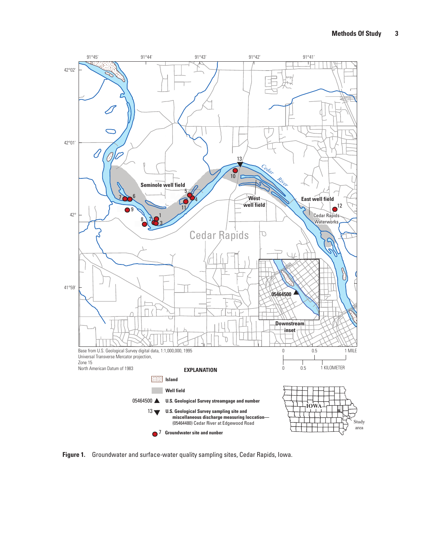<span id="page-10-0"></span>

**Figure 1.** Groundwater and surface-water quality sampling sites, Cedar Rapids, Iowa.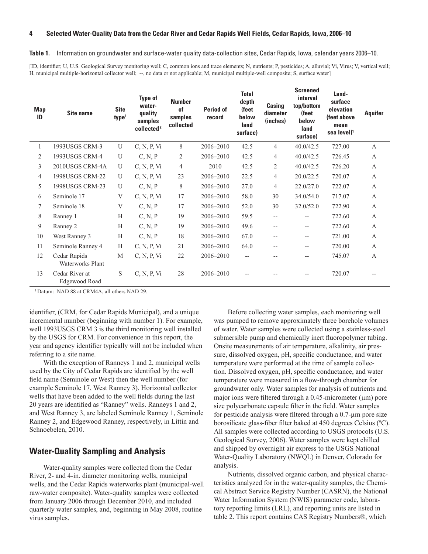#### <span id="page-11-0"></span>**Table 1.** Information on groundwater and surface-water quality data-collection sites, Cedar Rapids, Iowa, calendar years 2006–10.

[ID, identifier; U, U.S. Geological Survey monitoring well; C, common ions and trace elements; N, nutrients; P, pesticides; A, alluvial; Vi, Virus; V, vertical well; H, municipal multiple-horizontal collector well; --, no data or not applicable; M, municipal multiple-well composite; S, surface water]

| <b>Map</b><br>ID | <b>Site name</b>                 | <b>Site</b><br>type <sup>1</sup> | <b>Type of</b><br>water-<br>quality<br>samples<br>collected <sup>2</sup> | <b>Number</b><br>of<br>samples<br>collected | <b>Period of</b><br>record | <b>Total</b><br>depth<br>(feet<br>below<br>land<br>surface) | Casing<br>diameter<br>(inches) | <b>Screened</b><br>interval<br>top/bottom<br>(feet<br>below<br>land<br>surface) | Land-<br>surface<br>elevation<br>(feet above<br>mean<br>sea level) <sup>1</sup> | <b>Aquifer</b> |
|------------------|----------------------------------|----------------------------------|--------------------------------------------------------------------------|---------------------------------------------|----------------------------|-------------------------------------------------------------|--------------------------------|---------------------------------------------------------------------------------|---------------------------------------------------------------------------------|----------------|
|                  | 1993USGS CRM-3                   | $\overline{U}$                   | C, N, P, Vi                                                              | 8                                           | 2006-2010                  | 42.5                                                        | $\overline{4}$                 | 40.0/42.5                                                                       | 727.00                                                                          | $\mathbf{A}$   |
| 2                | 1993USGS CRM-4                   | U                                | C, N, P                                                                  | $\overline{2}$                              | 2006-2010                  | 42.5                                                        | 4                              | 40.0/42.5                                                                       | 726.45                                                                          | $\mathbf{A}$   |
| 3                | 2010USGS CRM-4A                  | U                                | C, N, P, Vi                                                              | $\overline{4}$                              | 2010                       | 42.5                                                        | $\overline{2}$                 | 40.0/42.5                                                                       | 726.20                                                                          | $\mathbf{A}$   |
| 4                | 1998USGS CRM-22                  | U                                | C, N, P, Vi                                                              | 23                                          | 2006-2010                  | 22.5                                                        | $\overline{4}$                 | 20.0/22.5                                                                       | 720.07                                                                          | $\mathbf{A}$   |
| 5                | 1998USGS CRM-23                  | U                                | C, N, P                                                                  | 8                                           | 2006-2010                  | 27.0                                                        | 4                              | 22.0/27.0                                                                       | 722.07                                                                          | $\mathbf{A}$   |
| 6                | Seminole 17                      | V                                | C, N, P, Vi                                                              | 17                                          | 2006-2010                  | 58.0                                                        | 30                             | 34.0/54.0                                                                       | 717.07                                                                          | $\overline{A}$ |
| 7                | Seminole 18                      | V                                | C, N, P                                                                  | 17                                          | 2006-2010                  | 52.0                                                        | 30                             | 32.0/52.0                                                                       | 722.90                                                                          | $\mathbf{A}$   |
| 8                | Ranney 1                         | H                                | C, N, P                                                                  | 19                                          | 2006-2010                  | 59.5                                                        | $- -$                          | $-$                                                                             | 722.60                                                                          | $\mathbf{A}$   |
| 9                | Ranney 2                         | H                                | C, N, P                                                                  | 19                                          | 2006-2010                  | 49.6                                                        | $-$                            | $-$                                                                             | 722.60                                                                          | $\mathbf{A}$   |
| 10               | West Ranney 3                    | H                                | C, N, P                                                                  | 18                                          | 2006-2010                  | 67.0                                                        | $-$                            | $-$                                                                             | 721.00                                                                          | $\mathbf{A}$   |
| 11               | Seminole Ranney 4                | H                                | C, N, P, Vi                                                              | 21                                          | 2006-2010                  | 64.0                                                        | $-$                            | $-$                                                                             | 720.00                                                                          | $\mathbf{A}$   |
| 12               | Cedar Rapids<br>Waterworks Plant | M                                | C, N, P, Vi                                                              | 22                                          | 2006-2010                  | $-$                                                         |                                | --                                                                              | 745.07                                                                          | A              |
| 13               | Cedar River at<br>Edgewood Road  | S                                | C, N, P, Vi                                                              | 28                                          | 2006-2010                  | $-$                                                         |                                | $- -$                                                                           | 720.07                                                                          | $-$            |

<sup>1</sup>Datum: NAD 88 at CRM4A, all others NAD 29.

identifier, (CRM, for Cedar Rapids Municipal), and a unique incremental number (beginning with number 1). For example, well 1993USGS CRM 3 is the third monitoring well installed by the USGS for CRM. For convenience in this report, the year and agency identifier typically will not be included when referring to a site name.

With the exception of Ranneys 1 and 2, municipal wells used by the City of Cedar Rapids are identified by the well field name (Seminole or West) then the well number (for example Seminole 17, West Ranney 3). Horizontal collector wells that have been added to the well fields during the last 20 years are identified as "Ranney" wells. Ranneys 1 and 2, and West Ranney 3, are labeled Seminole Ranney 1, Seminole Ranney 2, and Edgewood Ranney, respectively, in Littin and Schnoebelen, 2010.

## **Water-Quality Sampling and Analysis**

Water-quality samples were collected from the Cedar River, 2- and 4-in. diameter monitoring wells, municipal wells, and the Cedar Rapids waterworks plant (municipal-well raw-water composite). Water-quality samples were collected from January 2006 through December 2010, and included quarterly water samples, and, beginning in May 2008, routine virus samples.

Before collecting water samples, each monitoring well was pumped to remove approximately three borehole volumes of water. Water samples were collected using a stainless-steel submersible pump and chemically inert fluoropolymer tubing. Onsite measurements of air temperature, alkalinity, air pressure, dissolved oxygen, pH, specific conductance, and water temperature were performed at the time of sample collection. Dissolved oxygen, pH, specific conductance, and water temperature were measured in a flow-through chamber for groundwater only. Water samples for analysis of nutrients and major ions were filtered through a  $0.45$ -micrometer ( $\mu$ m) pore size polycarbonate capsule filter in the field. Water samples for pesticide analysis were filtered through a 0.7-µm pore size borosilicate glass-fiber filter baked at 450 degrees Celsius (ºC). All samples were collected according to USGS protocols (U.S. Geological Survey, 2006). Water samples were kept chilled and shipped by overnight air express to the USGS National Water-Quality Laboratory (NWQL) in Denver, Colorado for analysis.

Nutrients, dissolved organic carbon, and physical characteristics analyzed for in the water-quality samples, the Chemical Abstract Service Registry Number (CASRN), the National Water Information System (NWIS) parameter code, laboratory reporting limits (LRL), and reporting units are listed in table 2. This report contains CAS Registry Numbers®, which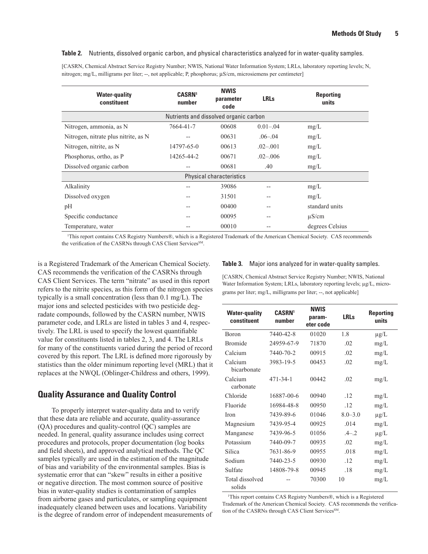#### <span id="page-12-0"></span>**Table 2.** Nutrients, dissolved organic carbon, and physical characteristics analyzed for in water-quality samples.

[CASRN, Chemical Abstract Service Registry Number; NWIS, National Water Information System; LRLs, laboratory reporting levels; N, nitrogen; mg/L, milligrams per liter; --, not applicable; P, phosphorus; µS/cm, microsiemens per centimeter]

| <b>Water-quality</b><br>constituent  | <b>CASRN1</b><br>number                | <b>NWIS</b><br>parameter<br>code | <b>LRLs</b>   | <b>Reporting</b><br>units |
|--------------------------------------|----------------------------------------|----------------------------------|---------------|---------------------------|
|                                      | Nutrients and dissolved organic carbon |                                  |               |                           |
| Nitrogen, ammonia, as N              | 7664-41-7                              | 00608                            | $0.01 - 0.04$ | mg/L                      |
| Nitrogen, nitrate plus nitrite, as N | --                                     | 00631                            | $.06 - .04$   | mg/L                      |
| Nitrogen, nitrite, as N              | 14797-65-0                             | 00613                            | $.02 - .001$  | mg/L                      |
| Phosphorus, ortho, as P              | 14265-44-2                             | 00671                            | $.02 - .006$  | mg/L                      |
| Dissolved organic carbon             | $-$                                    | 00681                            | .40           | mg/L                      |
|                                      |                                        | <b>Physical characteristics</b>  |               |                           |
| Alkalinity                           |                                        | 39086                            | --            | mg/L                      |
| Dissolved oxygen                     |                                        | 31501                            | --            | mg/L                      |
| pH                                   |                                        | 00400                            | --            | standard units            |
| Specific conductance                 |                                        | 00095                            | --            | $\mu$ S/cm                |
| Temperature, water                   |                                        | 00010                            |               | degrees Celsius           |

1 This report contains CAS Registry Numbers®, which is a Registered Trademark of the American Chemical Society. CAS recommends the verification of the CASRNs through CAS Client Services<sup>SM</sup>

is a Registered Trademark of the American Chemical Society. CAS recommends the verification of the CASRNs through CAS Client Services. The term "nitrate" as used in this report refers to the nitrite species, as this form of the nitrogen species typically is a small concentration (less than 0.1 mg/L). The major ions and selected pesticides with two pesticide degradate compounds, followed by the CASRN number, NWIS parameter code, and LRLs are listed in tables 3 and 4, respectively. The LRL is used to specify the lowest quantifiable value for constituents listed in tables 2, 3, and 4. The LRLs for many of the constituents varied during the period of record covered by this report. The LRL is defined more rigorously by statistics than the older minimum reporting level (MRL) that it replaces at the NWQL (Oblinger-Childress and others, 1999).

### **Quality Assurance and Quality Control**

To properly interpret water-quality data and to verify that these data are reliable and accurate, quality-assurance (QA) procedures and quality-control (QC) samples are needed. In general, quality assurance includes using correct procedures and protocols, proper documentation (log books and field sheets), and approved analytical methods. The QC samples typically are used in the estimation of the magnitude of bias and variability of the environmental samples. Bias is systematic error that can "skew" results in either a positive or negative direction. The most common source of positive bias in water-quality studies is contamination of samples from airborne gases and particulates, or sampling equipment inadequately cleaned between uses and locations. Variability is the degree of random error of independent measurements of

#### **Table 3.** Major ions analyzed for in water-quality samples.

[CASRN, Chemical Abstract Service Registry Number; NWIS, National Water Information System; LRLs, laboratory reporting levels; μg/L, micrograms per liter; mg/L, milligrams per liter; --, not applicable]

| <b>Water-quality</b><br>constituent | <b>CASRN1</b><br>number | <b>NWIS</b><br>param-<br>eter code | <b>LRLs</b> | <b>Reporting</b><br>units |
|-------------------------------------|-------------------------|------------------------------------|-------------|---------------------------|
| <b>Boron</b>                        | 7440-42-8               | 01020                              | 18          | $\mu g/L$                 |
| <b>Bromide</b>                      | 24959-67-9              | 71870                              | .02         | mg/L                      |
| Calcium                             | 7440-70-2               | 00915                              | .02         | mg/L                      |
| Calcium<br>bicarbonate              | 3983-19-5               | 00453                              | .02         | mg/L                      |
| Calcium<br>carbonate                | 471-34-1                | 00442                              | .02         | mg/L                      |
| Chloride                            | 16887-00-6              | 00940                              | .12         | mg/L                      |
| Fluoride                            | 16984-48-8              | 00950                              | 12          | mg/L                      |
| <b>Iron</b>                         | 7439-89-6               | 01046                              | $8.0 - 3.0$ | $\mu$ g/L                 |
| Magnesium                           | 7439-95-4               | 00925                              | .014        | mg/L                      |
| Manganese                           | 7439-96-5               | 01056                              | $-4-2$      | $\mu$ g/L                 |
| Potassium                           | 7440-09-7               | 00935                              | .02         | mg/L                      |
| Silica                              | 7631-86-9               | 00955                              | .018        | mg/L                      |
| Sodium                              | 7440-23-5               | 00930                              | .12         | mg/L                      |
| Sulfate                             | 14808-79-8              | 00945                              | .18         | mg/L                      |
| Total dissolved<br>solids           |                         | 70300                              | 10          | mg/L                      |

1 This report contains CAS Registry Numbers®, which is a Registered Trademark of the American Chemical Society. CAS recommends the verification of the CASRNs through CAS Client Services<sup>SM</sup>.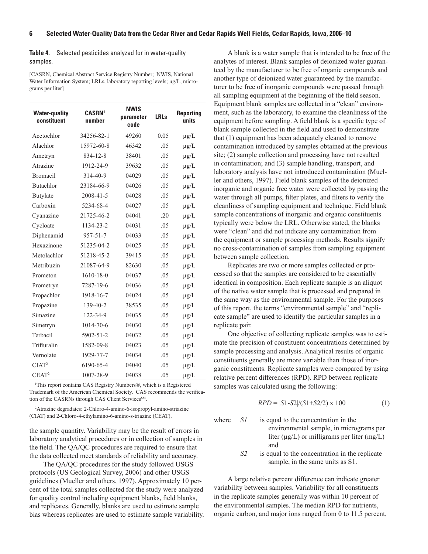#### <span id="page-13-0"></span>**Table 4.** Selected pesticides analyzed for in water-quality samples.

[CASRN, Chemical Abstract Service Registry Number; NWIS, National Water Information System; LRLs, laboratory reporting levels; μg/L, micrograms per liter]

| <b>Water-quality</b><br>constituent | <b>CASRN1</b><br>number |       | <b>LRLs</b> | <b>Reporting</b><br>units |
|-------------------------------------|-------------------------|-------|-------------|---------------------------|
| Acetochlor                          | 34256-82-1              | 49260 | 0.05        | $\mu$ g/L                 |
| Alachlor                            | 15972-60-8              | 46342 | .05         | $\mu$ g/L                 |
| Ametryn                             | 834-12-8                | 38401 | .05         | $\mu$ g/L                 |
| Atrazine                            | 1912-24-9               | 39632 | .05         | $\mu g/L$                 |
| <b>Bromacil</b>                     | 314-40-9                | 04029 | .05         | $\mu$ g/L                 |
| <b>Butachlor</b>                    | 23184-66-9              | 04026 | .05         | $\mu$ g/L                 |
| Butylate                            | 2008-41-5               | 04028 | .05         | $\mu g/L$                 |
| Carboxin                            | 5234-68-4               | 04027 | .05         | $\mu$ g/L                 |
| Cyanazine                           | 21725-46-2              | 04041 | .20         | $\mu$ g/L                 |
| Cycloate                            | 1134-23-2               | 04031 | .05         | $\mu$ g/L                 |
| Diphenamid                          | $957 - 51 - 7$          | 04033 | .05         | $\mu$ g/L                 |
| Hexazinone                          | 51235-04-2              | 04025 | .05         | $\mu$ g/L                 |
| Metolachlor                         | 51218-45-2              | 39415 | .05         | $\mu$ g/L                 |
| Metribuzin                          | 21087-64-9              | 82630 | .05         | $\mu$ g/L                 |
| Prometon                            | $1610 - 18 - 0$         | 04037 | .05         | $\mu$ g/L                 |
| Prometryn                           | 7287-19-6               | 04036 | .05         | $\mu$ g/L                 |
| Propachlor                          | 1918-16-7               | 04024 | .05         | $\mu g/L$                 |
| Propazine                           | 139-40-2                | 38535 | .05         | $\mu g/L$                 |
| Simazine                            | 122-34-9                | 04035 | .05         | $\mu$ g/L                 |
| Simetryn                            | 1014-70-6               | 04030 | .05         | $\mu$ g/L                 |
| Terbacil                            | 5902-51-2               | 04032 | .05         | $\mu$ g/L                 |
| Trifluralin                         | 1582-09-8               | 04023 | .05         | $\mu$ g/L                 |
| Vernolate                           | 1929-77-7               | 04034 | .05         | $\mu$ g/L                 |
| CIAT <sup>2</sup>                   | 6190-65-4               | 04040 | .05         | $\mu$ g/L                 |
| CEAT <sup>2</sup>                   | 1007-28-9               | 04038 | .05         | $\mu$ g/L                 |

1 This report contains CAS Registry Numbers®, which is a Registered Trademark of the American Chemical Society. CAS recommends the verification of the CASRNs through CAS Client Services<sup>SM</sup>.

2 Atrazine degradates: 2-Chloro-4-amino-6-isopropyl-amino-striazine (CIAT) and 2-Chloro-4-ethylamino-6-amino-s-triazine (CEAT).

the sample quantity. Variability may be the result of errors in laboratory analytical procedures or in collection of samples in the field. The QA/QC procedures are required to ensure that the data collected meet standards of reliability and accuracy.

The QA/QC procedures for the study followed USGS protocols (US Geological Survey, 2006) and other USGS guidelines (Mueller and others, 1997). Approximately 10 percent of the total samples collected for the study were analyzed for quality control including equipment blanks, field blanks, and replicates. Generally, blanks are used to estimate sample bias whereas replicates are used to estimate sample variability.

A blank is a water sample that is intended to be free of the analytes of interest. Blank samples of deionized water guaranteed by the manufacturer to be free of organic compounds and another type of deionized water guaranteed by the manufacturer to be free of inorganic compounds were passed through all sampling equipment at the beginning of the field season. Equipment blank samples are collected in a "clean" environment, such as the laboratory, to examine the cleanliness of the equipment before sampling. A field blank is a specific type of blank sample collected in the field and used to demonstrate that (1) equipment has been adequately cleaned to remove contamination introduced by samples obtained at the previous site; (2) sample collection and processing have not resulted in contamination; and (3) sample handling, transport, and laboratory analysis have not introduced contamination (Mueller and others, 1997). Field blank samples of the deionized inorganic and organic free water were collected by passing the water through all pumps, filter plates, and filters to verify the cleanliness of sampling equipment and technique. Field blank sample concentrations of inorganic and organic constituents typically were below the LRL. Otherwise stated, the blanks were "clean" and did not indicate any contamination from the equipment or sample processing methods. Results signify no cross-contamination of samples from sampling equipment between sample collection.

Replicates are two or more samples collected or processed so that the samples are considered to be essentially identical in composition. Each replicate sample is an aliquot of the native water sample that is processed and prepared in the same way as the environmental sample. For the purposes of this report, the terms "environmental sample" and "replicate sample" are used to identify the particular samples in a replicate pair.

One objective of collecting replicate samples was to estimate the precision of constituent concentrations determined by sample processing and analysis. Analytical results of organic constituents generally are more variable than those of inorganic constituents. Replicate samples were compared by using relative percent differences (RPD). RPD between replicate samples was calculated using the following:

$$
RPD = |S1-S2|/(S1+S2/2) \times 100 \tag{1}
$$

- where *S1* is equal to the concentration in the environmental sample, in micrograms per liter ( $\mu$ g/L) or milligrams per liter (mg/L)
	- and *S2* is equal to the concentration in the replicate sample, in the same units as S1.

A large relative percent difference can indicate greater variability between samples. Variability for all constituents in the replicate samples generally was within 10 percent of the environmental samples. The median RPD for nutrients, organic carbon, and major ions ranged from 0 to 11.5 percent,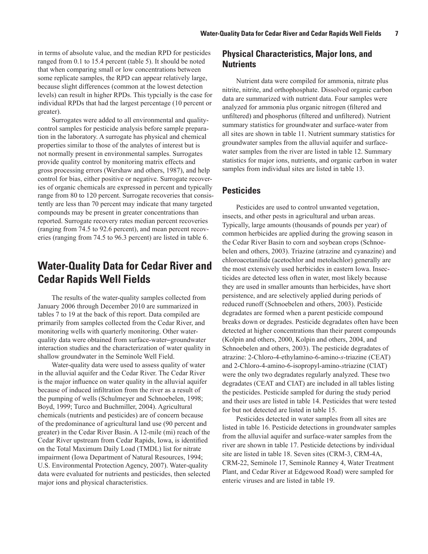<span id="page-14-0"></span>in terms of absolute value, and the median RPD for pesticides ranged from 0.1 to 15.4 percent (table 5). It should be noted that when comparing small or low concentrations between some replicate samples, the RPD can appear relatively large, because slight differences (common at the lowest detection levels) can result in higher RPDs. This typcially is the case for individual RPDs that had the largest percentage (10 percent or greater).

Surrogates were added to all environmental and qualitycontrol samples for pesticide analysis before sample preparation in the laboratory. A surrogate has physical and chemical properties similar to those of the analytes of interest but is not normally present in environmental samples. Surrogates provide quality control by monitoring matrix effects and gross processing errors (Wershaw and others, 1987), and help control for bias, either positive or negative. Surrogate recoveries of organic chemicals are expressed in percent and typically range from 80 to 120 percent. Surrogate recoveries that consistently are less than 70 percent may indicate that many targeted compounds may be present in greater concentrations than reported. Surrogate recovery rates median percent recoveries (ranging from 74.5 to 92.6 percent), and mean percent recoveries (ranging from 74.5 to 96.3 percent) are listed in table 6.

## **Water-Quality Data for Cedar River and Cedar Rapids Well Fields**

The results of the water-quality samples collected from January 2006 through December 2010 are summarized in tables 7 to 19 at the back of this report. Data compiled are primarily from samples collected from the Cedar River, and monitoring wells with quarterly monitoring. Other waterquality data were obtained from surface-water–groundwater interaction studies and the characterization of water quality in shallow groundwater in the Seminole Well Field.

Water-quality data were used to assess quality of water in the alluvial aquifer and the Cedar River. The Cedar River is the major influence on water quality in the alluvial aquifer because of induced infiltration from the river as a result of the pumping of wells (Schulmeyer and Schnoebelen, 1998; Boyd, 1999; Turco and Buchmiller, 2004). Agricultural chemicals (nutrients and pesticides) are of concern because of the predominance of agricultural land use (90 percent and greater) in the Cedar River Basin. A 12-mile (mi) reach of the Cedar River upstream from Cedar Rapids, Iowa, is identified on the Total Maximum Daily Load (TMDL) list for nitrate impairment (Iowa Department of Natural Resources, 1994; U.S. Environmental Protection Agency, 2007). Water-quality data were evaluated for nutrients and pesticides, then selected major ions and physical characteristics.

### **Physical Characteristics, Major Ions, and Nutrients**

Nutrient data were compiled for ammonia, nitrate plus nitrite, nitrite, and orthophosphate. Dissolved organic carbon data are summarized with nutrient data. Four samples were analyzed for ammonia plus organic nitrogen (filtered and unfiltered) and phosphorus (filtered and unfiltered). Nutrient summary statistics for groundwater and surface-water from all sites are shown in table 11. Nutrient summary statistics for groundwater samples from the alluvial aquifer and surfacewater samples from the river are listed in table 12. Summary statistics for major ions, nutrients, and organic carbon in water samples from individual sites are listed in table 13.

### **Pesticides**

Pesticides are used to control unwanted vegetation, insects, and other pests in agricultural and urban areas. Typically, large amounts (thousands of pounds per year) of common herbicides are applied during the growing season in the Cedar River Basin to corn and soybean crops (Schnoebelen and others, 2003). Triazine (atrazine and cyanazine) and chloroacetanilide (acetochlor and metolachlor) generally are the most extensively used herbicides in eastern Iowa. Insecticides are detected less often in water, most likely because they are used in smaller amounts than herbicides, have short persistence, and are selectively applied during periods of reduced runoff (Schnoebelen and others, 2003). Pesticide degradates are formed when a parent pesticide compound breaks down or degrades. Pesticide degradates often have been detected at higher concentrations than their parent compounds (Kolpin and others, 2000, Kolpin and others, 2004, and Schnoebelen and others, 2003). The pesticide degradates of atrazine: 2-Chloro-4-ethylamino-6-amino-*s*-triazine (CEAT) and 2-Chloro-4-amino-6-isopropyl-amino-*s*triazine (CIAT) were the only two degradates regularly analyzed. These two degradates (CEAT and CIAT) are included in all tables listing the pesticides. Pesticide sampled for during the study period and their uses are listed in table 14. Pesticides that were tested for but not detected are listed in table 15.

Pesticides detected in water samples from all sites are listed in table 16. Pesticide detections in groundwater samples from the alluvial aquifer and surface-water samples from the river are shown in table 17. Pesticide detections by individual site are listed in table 18. Seven sites (CRM-3, CRM-4A, CRM-22, Seminole 17, Seminole Ranney 4, Water Treatment Plant, and Cedar River at Edgewood Road) were sampled for enteric viruses and are listed in table 19.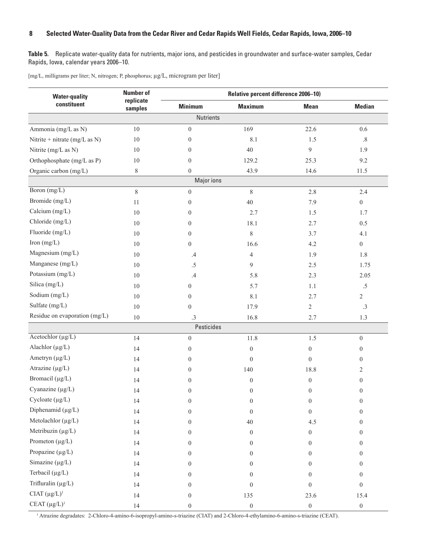<span id="page-15-0"></span>**Table 5.** Replicate water-quality data for nutrients, major ions, and pesticides in groundwater and surface-water samples, Cedar Rapids, Iowa, calendar years 2006–10.

[mg/L, milligrams per liter; N, nitrogen; P, phosphorus; µg/L, microgram per liter]

| <b>Water-quality</b>          | <b>Number of</b>     |                  | Relative percent difference 2006-10) |                  |                  |  |  |  |
|-------------------------------|----------------------|------------------|--------------------------------------|------------------|------------------|--|--|--|
| constituent                   | replicate<br>samples | <b>Minimum</b>   | <b>Maximum</b>                       | <b>Mean</b>      | <b>Median</b>    |  |  |  |
|                               |                      | <b>Nutrients</b> |                                      |                  |                  |  |  |  |
| Ammonia (mg/L as N)           | $10\,$               | $\overline{0}$   | 169                                  | 22.6             | 0.6              |  |  |  |
| Nitrite + nitrate (mg/L as N) | 10                   | $\theta$         | 8.1                                  | 1.5              | $.8\,$           |  |  |  |
| Nitrite (mg/L as N)           | 10                   | $\overline{0}$   | 40                                   | $\mathfrak{g}$   | 1.9              |  |  |  |
| Orthophosphate (mg/L as P)    | 10                   | $\theta$         | 129.2                                | 25.3             | 9.2              |  |  |  |
| Organic carbon (mg/L)         | $8\,$                | $\boldsymbol{0}$ | 43.9                                 | 14.6             | 11.5             |  |  |  |
|                               |                      | Major ions       |                                      |                  |                  |  |  |  |
| Boron (mg/L)                  | $8\,$                | $\boldsymbol{0}$ | $8\,$                                | 2.8              | 2.4              |  |  |  |
| Bromide (mg/L)                | 11                   | $\theta$         | 40                                   | 7.9              | $\overline{0}$   |  |  |  |
| Calcium (mg/L)                | 10                   | $\theta$         | 2.7                                  | 1.5              | 1.7              |  |  |  |
| Chloride (mg/L)               | 10                   | $\overline{0}$   | 18.1                                 | 2.7              | 0.5              |  |  |  |
| Fluoride (mg/L)               | 10                   | $\overline{0}$   | $8\,$                                | 3.7              | 4.1              |  |  |  |
| Iron (mg/L)                   | 10                   | $\overline{0}$   | 16.6                                 | 4.2              | $\overline{0}$   |  |  |  |
| Magnesium (mg/L)              | 10                   | $.4\phantom{0}$  | $\overline{4}$                       | 1.9              | 1.8              |  |  |  |
| Manganese (mg/L)              | 10                   | .5               | 9                                    | 2.5              | 1.75             |  |  |  |
| Potassium (mg/L)              | 10                   | .4               | 5.8                                  | 2.3              | 2.05             |  |  |  |
| Silica (mg/L)                 | 10                   | $\boldsymbol{0}$ | 5.7                                  | 1.1              | $.5\,$           |  |  |  |
| Sodium (mg/L)                 | 10                   | $\theta$         | 8.1                                  | 2.7              | $\overline{2}$   |  |  |  |
| Sulfate (mg/L)                | 10                   | $\mathbf{0}$     | 17.9                                 | $\overline{c}$   | .3               |  |  |  |
| Residue on evaporation (mg/L) | 10                   | $\cdot$ 3        | 16.8                                 | 2.7              | 1.3              |  |  |  |
|                               |                      | Pesticides       |                                      |                  |                  |  |  |  |
| Acetochlor $(\mu g/L)$        | 14                   | $\boldsymbol{0}$ | 11.8                                 | 1.5              | $\boldsymbol{0}$ |  |  |  |
| Alachlor $(\mu g/L)$          | 14                   | $\overline{0}$   | $\boldsymbol{0}$                     | $\boldsymbol{0}$ | $\overline{0}$   |  |  |  |
| Ametryn (µg/L)                | 14                   | $\overline{0}$   | $\boldsymbol{0}$                     | $\overline{0}$   | $\overline{0}$   |  |  |  |
| Atrazine $(\mu g/L)$          | 14                   | $\overline{0}$   | 140                                  | 18.8             | 2                |  |  |  |
| Bromacil (µg/L)               | 14                   | $\theta$         | $\theta$                             | $\boldsymbol{0}$ | $\mathbf{0}$     |  |  |  |
| Cyanazine $(\mu g/L)$         | 14                   | $\theta$         | $\overline{0}$                       | $\mathbf{0}$     | $\overline{0}$   |  |  |  |
| $Cycloate (\mu g/L)$          | 14                   | $\boldsymbol{0}$ | $\overline{0}$                       | $\overline{0}$   | $\theta$         |  |  |  |
| Diphenamid (µg/L)             | 14                   | $\theta$         | $\theta$                             | $\overline{0}$   | $\Omega$         |  |  |  |
| Metolachlor (µg/L)            | 14                   | $\theta$         | $40\,$                               | 4.5              | 0                |  |  |  |
| Metribuzin (µg/L)             | 14                   | $\theta$         | 0                                    | $\overline{0}$   | $\left( \right)$ |  |  |  |
| Prometon (µg/L)               | 14                   | $\theta$         | 0                                    | $\mathbf{0}$     | 0                |  |  |  |
| Propazine (µg/L)              | 14                   | $\theta$         | 0                                    | $\Omega$         | $\Omega$         |  |  |  |
| Simazine $(\mu g/L)$          | 14                   | $\theta$         | 0                                    | $\theta$         | 0                |  |  |  |
| Terbacil (µg/L)               | 14                   | $\Omega$         | 0                                    | $\theta$         | 0                |  |  |  |
| Trifluralin (µg/L)            | 14                   | $\theta$         | $\boldsymbol{0}$                     | $\theta$         | $\Omega$         |  |  |  |
| $CIAT (\mu g/L)^1$            | 14                   | $\boldsymbol{0}$ | 135                                  | 23.6             | 15.4             |  |  |  |
| CEAT $(\mu g/L)^1$            | 14                   | $\boldsymbol{0}$ | $\boldsymbol{0}$                     | $\boldsymbol{0}$ | $\boldsymbol{0}$ |  |  |  |

<sup>1</sup> Atrazine degradates: 2-Chloro-4-amino-6-isopropyl-amino-s-triazine (CIAT) and 2-Chloro-4-ethylamino-6-amino-s-triazine (CEAT).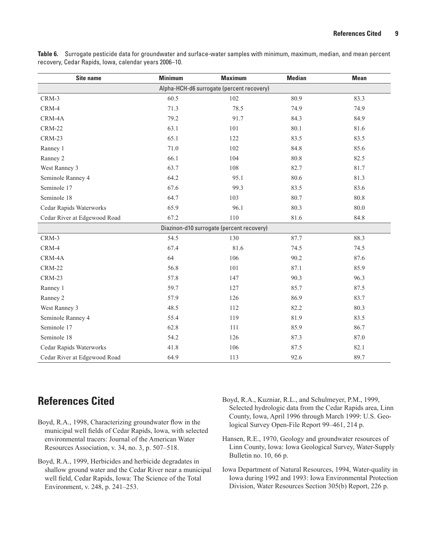<span id="page-16-0"></span>**Table 6.** Surrogate pesticide data for groundwater and surface-water samples with minimum, maximum, median, and mean percent recovery, Cedar Rapids, Iowa, calendar years 2006–10.

| <b>Site name</b>             | <b>Minimum</b> | <b>Maximum</b>                            | <b>Median</b> | <b>Mean</b> |
|------------------------------|----------------|-------------------------------------------|---------------|-------------|
|                              |                | Alpha-HCH-d6 surrogate (percent recovery) |               |             |
| CRM-3                        | 60.5           | 102                                       | 80.9          | 83.3        |
| CRM-4                        | 71.3           | 78.5                                      | 74.9          | 74.9        |
| CRM-4A                       | 79.2           | 91.7                                      | 84.3          | 84.9        |
| <b>CRM-22</b>                | 63.1           | 101                                       | 80.1          | 81.6        |
| CRM-23                       | 65.1           | 122                                       | 83.5          | 83.5        |
| Ranney 1                     | 71.0           | 102                                       | 84.8          | 85.6        |
| Ranney 2                     | 66.1           | 104                                       | 80.8          | 82.5        |
| West Ranney 3                | 63.7           | 108                                       | 82.7          | 81.7        |
| Seminole Ranney 4            | 64.2           | 95.1                                      | 80.6          | 81.3        |
| Seminole 17                  | 67.6           | 99.3                                      | 83.5          | 83.6        |
| Seminole 18                  | 64.7           | 103                                       | 80.7          | 80.8        |
| Cedar Rapids Waterworks      | 65.9           | 96.1                                      | 80.3          | 80.0        |
| Cedar River at Edgewood Road | 67.2           | 110                                       | 81.6          | 84.8        |
|                              |                | Diazinon-d10 surrogate (percent recovery) |               |             |
| CRM-3                        | 54.5           | 130                                       | 87.7          | 88.3        |
| CRM-4                        | 67.4           | 81.6                                      | 74.5          | 74.5        |
| CRM-4A                       | 64             | 106                                       | 90.2          | 87.6        |
| <b>CRM-22</b>                | 56.8           | 101                                       | 87.1          | 85.9        |
| <b>CRM-23</b>                | 57.8           | 147                                       | 90.3          | 96.3        |
| Ranney 1                     | 59.7           | 127                                       | 85.7          | 87.5        |
| Ranney 2                     | 57.9           | 126                                       | 86.9          | 83.7        |
| West Ranney 3                | 48.5           | 112                                       | 82.2          | 80.3        |
| Seminole Ranney 4            | 55.4           | 119                                       | 81.9          | 83.5        |
| Seminole 17                  | 62.8           | 111                                       | 85.9          | 86.7        |
| Seminole 18                  | 54.2           | 126                                       | 87.3          | 87.0        |
| Cedar Rapids Waterworks      | 41.8           | 106                                       | 87.5          | 82.1        |
| Cedar River at Edgewood Road | 64.9           | 113                                       | 92.6          | 89.7        |

## **References Cited**

- Boyd, R.A., 1998, Characterizing groundwater flow in the municipal well fields of Cedar Rapids, Iowa, with selected environmental tracers: Journal of the American Water Resources Association, v. 34, no. 3, p. 507–518.
- Boyd, R.A., 1999, Herbicides and herbicide degradates in shallow ground water and the Cedar River near a municipal well field, Cedar Rapids, Iowa: The Science of the Total Environment, v. 248, p. 241–253.
- Boyd, R.A., Kuzniar, R.L., and Schulmeyer, P.M., 1999, Selected hydrologic data from the Cedar Rapids area, Linn County, Iowa, April 1996 through March 1999: U.S. Geological Survey Open-File Report 99–461, 214 p.
- Hansen, R.E., 1970, Geology and groundwater resources of Linn County, Iowa: Iowa Geological Survey, Water-Supply Bulletin no. 10, 66 p.
- Iowa Department of Natural Resources, 1994, Water-quality in Iowa during 1992 and 1993: Iowa Environmental Protection Division, Water Resources Section 305(b) Report, 226 p.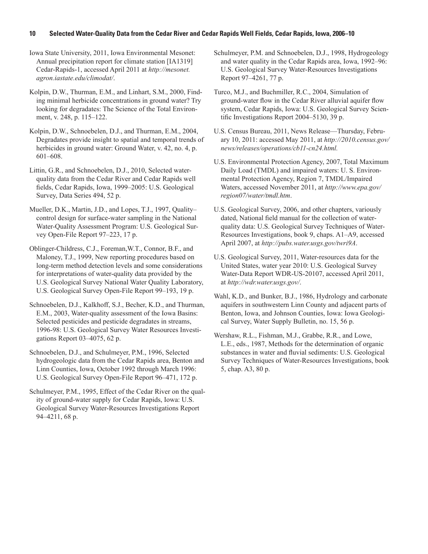Iowa State University, 2011, Iowa Environmental Mesonet: Annual precipitation report for climate station [IA1319] Cedar-Rapids-1, accessed April 2011 at *[http://mesonet.](http://mesonet.agron.iastate.edu/climodat/) [agron.iastate.edu/climodat/](http://mesonet.agron.iastate.edu/climodat/)*.

Kolpin, D.W., Thurman, E.M., and Linhart, S.M., 2000, Finding minimal herbicide concentrations in ground water? Try looking for degradates: The Science of the Total Environment, v. 248, p. 115–122.

Kolpin, D.W., Schnoebelen, D.J., and Thurman, E.M., 2004, Degradates provide insight to spatial and temporal trends of herbicides in ground water: Ground Water, v. 42, no. 4, p. 601–608.

Littin, G.R., and Schnoebelen, D.J., 2010, Selected waterquality data from the Cedar River and Cedar Rapids well fields, Cedar Rapids, Iowa, 1999–2005: U.S. Geological Survey, Data Series 494, 52 p.

Mueller, D.K., Martin, J.D., and Lopes, T.J., 1997, Quality– control design for surface-water sampling in the National Water-Quality Assessment Program: U.S. Geological Survey Open-File Report 97–223, 17 p.

Oblinger-Childress, C.J., Foreman,W.T., Connor, B.F., and Maloney, T.J., 1999, New reporting procedures based on long-term method detection levels and some considerations for interpretations of water-quality data provided by the U.S. Geological Survey National Water Quality Laboratory, U.S. Geological Survey Open-File Report 99–193, 19 p.

Schnoebelen, D.J., Kalkhoff, S.J., Becher, K.D., and Thurman, E.M., 2003, Water-quality assessment of the Iowa Basins: Selected pesticides and pesticide degradates in streams, 1996-98: U.S. Geological Survey Water Resources Investigations Report 03–4075, 62 p.

Schnoebelen, D.J., and Schulmeyer, P.M., 1996, Selected hydrogeologic data from the Cedar Rapids area, Benton and Linn Counties, Iowa, October 1992 through March 1996: U.S. Geological Survey Open-File Report 96–471, 172 p.

Schulmeyer, P.M., 1995, Effect of the Cedar River on the quality of ground-water supply for Cedar Rapids, Iowa: U.S. Geological Survey Water-Resources Investigations Report 94–4211, 68 p.

Schulmeyer, P.M. and Schnoebelen, D.J., 1998, Hydrogeology and water quality in the Cedar Rapids area, Iowa, 1992–96: U.S. Geological Survey Water-Resources Investigations Report 97–4261, 77 p.

Turco, M.J., and Buchmiller, R.C., 2004, Simulation of ground-water flow in the Cedar River alluvial aquifer flow system, Cedar Rapids, Iowa: U.S. Geological Survey Scientific Investigations Report 2004–5130, 39 p.

U.S. Census Bureau, 2011, News Release—Thursday, February 10, 2011: accessed May 2011, at *[http://2010.census.gov/](http://2010.census.gov/news/releases/operations/cb11-cn24.html) [news/releases/operations/cb11-cn24.html](http://2010.census.gov/news/releases/operations/cb11-cn24.html).*

U.S. Environmental Protection Agency, 2007, Total Maximum Daily Load (TMDL) and impaired waters: U. S. Environmental Protection Agency, Region 7, TMDL/Impaired Waters, accessed November 2011, at *http://www.epa.gov/ region07/water/tmdl.htm*.

U.S. Geological Survey, 2006, and other chapters, variously dated, National field manual for the collection of waterquality data: U.S. Geological Survey Techniques of Water-Resources Investigations, book 9, chaps. A1–A9, accessed April 2007, at *<http://pubs.water.usgs.gov/twri9A>*.

U.S. Geological Survey, 2011, Water-resources data for the United States, water year 2010: U.S. Geological Survey Water-Data Report WDR-US-20107, accessed April 2011, at *http://wdr.water.usgs.gov/*.

Wahl, K.D., and Bunker, B.J., 1986, Hydrology and carbonate aquifers in southwestern Linn County and adjacent parts of Benton, Iowa, and Johnson Counties, Iowa: Iowa Geological Survey, Water Supply Bulletin, no. 15, 56 p.

Wershaw, R.L., Fishman, M.J., Grabbe, R.R., and Lowe, L.E., eds., 1987, Methods for the determination of organic substances in water and fluvial sediments: U.S. Geological Survey Techniques of Water-Resources Investigations, book 5, chap. A3, 80 p.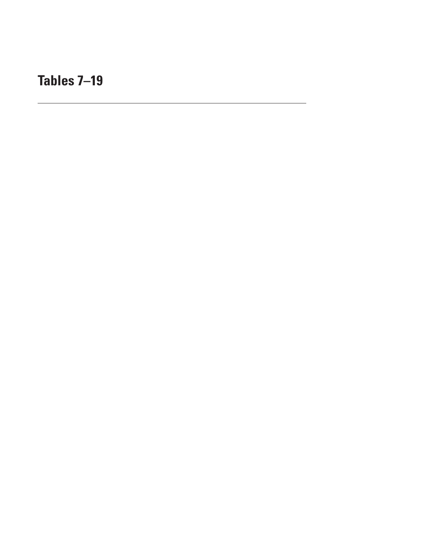<span id="page-18-0"></span>**Tables 7–19**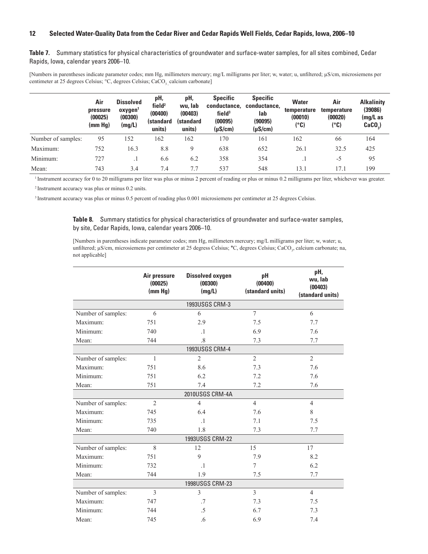<span id="page-19-0"></span>**Table 7.** Summary statistics for physical characteristics of groundwater and surface-water samples, for all sites combined, Cedar Rapids, Iowa, calendar years 2006–10.

[Numbers in parentheses indicate parameter codes; mm Hg, millimeters mercury; mg/L milligrams per liter; w, water; u, unfiltered; µS/cm, microsiemens per centimeter at 25 degrees Celsius; °C, degrees Celsius; CaCO<sub>3</sub> calcium carbonate]

|                    | Air<br>pressure<br>(00025)<br>(mm Hg) | <b>Dissolved</b><br>oxygen <sup>1</sup><br>(00300)<br>(mg/L) | pH,<br>field <sup>2</sup><br>(00400)<br><b>(standard</b><br>units) | pH,<br>wu, lab<br>(00403)<br><b>(standard</b><br>units) | <b>Specific</b><br>conductance.<br>field <sup>3</sup><br>(00095)<br>$(\mu S/cm)$ | <b>Specific</b><br>conductance,<br>lab<br>(90095)<br>$(\mu S/cm)$ | <b>Water</b><br>temperature<br>(00010)<br>(°C) | Air<br>temperature<br>(00020)<br>(°C) | <b>Alkalinity</b><br>(39086)<br>$(mg/L)$ as<br>$CaCO2$ ) |
|--------------------|---------------------------------------|--------------------------------------------------------------|--------------------------------------------------------------------|---------------------------------------------------------|----------------------------------------------------------------------------------|-------------------------------------------------------------------|------------------------------------------------|---------------------------------------|----------------------------------------------------------|
| Number of samples: | 95                                    | 152                                                          | 162                                                                | 162                                                     | 170                                                                              | 161                                                               | 162                                            | 66                                    | 164                                                      |
| Maximum:           | 752                                   | 16.3                                                         | 8.8                                                                | 9                                                       | 638                                                                              | 652                                                               | 26.1                                           | 32.5                                  | 425                                                      |
| Minimum:           | 727                                   | . .                                                          | 6.6                                                                | 6.2                                                     | 358                                                                              | 354                                                               |                                                | -5                                    | 95                                                       |
| Mean:              | 743                                   | 3.4                                                          | 7.4                                                                | 7.7                                                     | 537                                                                              | 548                                                               | 13.1                                           | 17.1                                  | 199                                                      |

<sup>1</sup> Instrument accuracy for 0 to 20 milligrams per liter was plus or minus 2 percent of reading or plus or minus 0.2 milligrams per liter, whichever was greater.

<sup>2</sup> Instrument accuracy was plus or minus 0.2 units.

<sup>3</sup> Instrument accuracy was plus or minus 0.5 percent of reading plus 0.001 microsiemens per centimeter at 25 degrees Celsius.

**Table 8.** Summary statistics for physical characteristics of groundwater and surface-water samples, by site, Cedar Rapids, Iowa, calendar years 2006–10.

[Numbers in parentheses indicate parameter codes; mm Hg, millimeters mercury; mg/L milligrams per liter; w, water; u, unfiltered; µS/cm, microsiemens per centimeter at 25 degress Celsius; °C, degrees Celsius; CaCO<sub>3</sub>, calcium carbonate; na, not applicable]

|                    | Air pressure<br>(00025)<br>(mm Hg) | <b>Dissolved oxygen</b><br>(00300)<br>(mg/L) | pH<br>(00400)<br>(standard units) | pH,<br>wu, lab<br>(00403)<br>(standard units) |
|--------------------|------------------------------------|----------------------------------------------|-----------------------------------|-----------------------------------------------|
|                    |                                    | 1993USGS CRM-3                               |                                   |                                               |
| Number of samples: | 6                                  | 6                                            | $\tau$                            | 6                                             |
| Maximum:           | 751                                | 2.9                                          | 7.5                               | 7.7                                           |
| Minimum:           | 740                                | $\cdot$ 1                                    | 6.9                               | 7.6                                           |
| Mean:              | 744                                | .8                                           | 7.3                               | 7.7                                           |
|                    |                                    | 1993USGS CRM-4                               |                                   |                                               |
| Number of samples: | $\mathbf{1}$                       | $\overline{2}$                               | $\overline{2}$                    | $\overline{2}$                                |
| Maximum:           | 751                                | 8.6                                          | 7.3                               | 7.6                                           |
| Minimum:           | 751                                | 6.2                                          | 7.2                               | 7.6                                           |
| Mean:              | 751                                | 7.4                                          | 7.2                               | 7.6                                           |
|                    |                                    | 2010USGS CRM-4A                              |                                   |                                               |
| Number of samples: | $\mathfrak{2}$                     | $\overline{4}$                               | $\overline{4}$                    | $\overline{4}$                                |
| Maximum:           | 745                                | 6.4                                          | 7.6                               | 8                                             |
| Minimum:           | 735                                | $\cdot$ 1                                    | 7.1                               | 7.5                                           |
| Mean:              | 740                                | 1.8                                          | 7.3                               | 7.7                                           |
|                    |                                    | 1993USGS CRM-22                              |                                   |                                               |
| Number of samples: | 8                                  | 12                                           | 15                                | 17                                            |
| Maximum:           | 751                                | 9                                            | 7.9                               | 8.2                                           |
| Minimum:           | 732                                | $\cdot$ 1                                    | 7                                 | 6.2                                           |
| Mean:              | 744                                | 1.9                                          | 7.5                               | 7.7                                           |
|                    |                                    | 1998USGS CRM-23                              |                                   |                                               |
| Number of samples: | 3                                  | 3                                            | 3                                 | $\overline{4}$                                |
| Maximum:           | 747                                | .7                                           | 7.3                               | 7.5                                           |
| Minimum:           | 744                                | .5                                           | 6.7                               | 7.3                                           |
| Mean:              | 745                                | .6                                           | 6.9                               | 7.4                                           |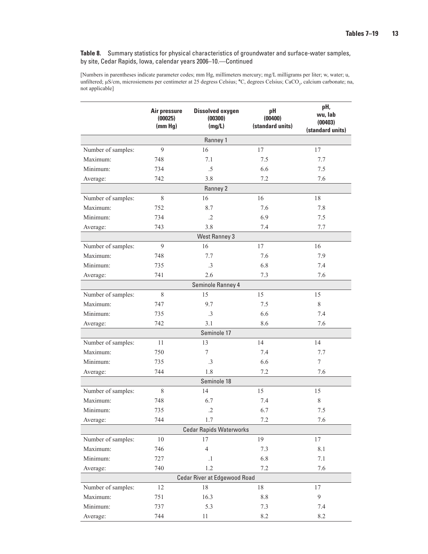**Table 8.** Summary statistics for physical characteristics of groundwater and surface-water samples, by site, Cedar Rapids, Iowa, calendar years 2006–10.—Continued

[Numbers in parentheses indicate parameter codes; mm Hg, millimeters mercury; mg/L milligrams per liter; w, water; u, unfiltered; µS/cm, microsiemens per centimeter at 25 degress Celsius; °C, degrees Celsius; CaCO<sub>3</sub>, calcium carbonate; na, not applicable]

|                                | Air pressure<br>(00025)<br>(mm Hg) | <b>Dissolved oxygen</b><br>(00300)<br>(mg/L) | pH<br>(00400)<br>(standard units) | pH,<br>wu, lab<br>(00403)<br>(standard units) |  |  |
|--------------------------------|------------------------------------|----------------------------------------------|-----------------------------------|-----------------------------------------------|--|--|
|                                |                                    | Ranney 1                                     |                                   |                                               |  |  |
| Number of samples:             | 9                                  | 16                                           | 17                                | 17                                            |  |  |
| Maximum:                       | 748                                | 7.1                                          | 7.5                               | 7.7                                           |  |  |
| Minimum:                       | 734                                | .5                                           | 6.6                               | 7.5                                           |  |  |
| Average:                       | 742                                | 3.8                                          | 7.2                               | 7.6                                           |  |  |
|                                |                                    | Ranney 2                                     |                                   |                                               |  |  |
| Number of samples:             | 8                                  | 16                                           | 16                                | 18                                            |  |  |
| Maximum:                       | 752                                | 8.7                                          | 7.6                               | 7.8                                           |  |  |
| Minimum:                       | 734                                | $\cdot$ .2                                   | 6.9                               | 7.5                                           |  |  |
| Average:                       | 743                                | 3.8                                          | 7.4                               | 7.7                                           |  |  |
|                                |                                    | <b>West Ranney 3</b>                         |                                   |                                               |  |  |
| Number of samples:             | 9                                  | 16                                           | 17                                | 16                                            |  |  |
| Maximum:                       | 748                                | 7.7                                          | 7.6                               | 7.9                                           |  |  |
| Minimum:                       | 735                                | $\cdot$ 3                                    | 6.8                               | 7.4                                           |  |  |
| Average:                       | 741                                | 2.6                                          | 7.3                               | 7.6                                           |  |  |
|                                |                                    | Seminole Ranney 4                            |                                   |                                               |  |  |
| Number of samples:             | $\,$ 8 $\,$                        | 15                                           | 15                                | 15                                            |  |  |
| Maximum:                       | 747                                | 9.7                                          | 7.5                               | 8                                             |  |  |
| Minimum:                       | 735                                | $\cdot$ 3                                    | 6.6                               | 7.4                                           |  |  |
| Average:                       | 742                                | 3.1                                          | 8.6                               | 7.6                                           |  |  |
|                                |                                    | Seminole 17                                  |                                   |                                               |  |  |
| Number of samples:             | 11                                 | 13                                           | 14                                | 14                                            |  |  |
| Maximum:                       | 750                                | 7                                            | 7.4                               | 7.7                                           |  |  |
| Minimum:                       | 735                                | $.3\phantom{0}$                              | 6.6                               | $\overline{7}$                                |  |  |
| Average:                       | 744                                | 1.8                                          | 7.2                               | 7.6                                           |  |  |
|                                |                                    | Seminole 18                                  |                                   |                                               |  |  |
| Number of samples:             | 8                                  | 14                                           | 15                                | 15                                            |  |  |
| Maximum:                       | 748                                | 6.7                                          | 7.4                               | 8                                             |  |  |
| Minimum:                       | 735                                | $\cdot$ .2                                   | 6.7                               | 7.5                                           |  |  |
| Average:                       | 744                                | 1.7                                          | 7.2                               | 7.6                                           |  |  |
| <b>Cedar Rapids Waterworks</b> |                                    |                                              |                                   |                                               |  |  |
| Number of samples:             | 10                                 | 17                                           | 19                                | 17                                            |  |  |
| Maximum:                       | 746                                | $\overline{4}$                               | 7.3                               | 8.1                                           |  |  |
| Minimum:                       | 727                                | $\cdot$ 1                                    | 6.8                               | $7.1\,$                                       |  |  |
| Average:                       | 740                                | 1.2                                          | $7.2\,$                           | 7.6                                           |  |  |
| Cedar River at Edgewood Road   |                                    |                                              |                                   |                                               |  |  |
| Number of samples:             | 12                                 | $18\,$                                       | $18\,$                            | 17                                            |  |  |
| Maximum:                       | 751                                | 16.3                                         | $8.8\,$                           | 9                                             |  |  |
| Minimum:                       | 737                                | 5.3                                          | 7.3                               | 7.4                                           |  |  |
| Average:                       | 744                                | 11                                           | 8.2                               | 8.2                                           |  |  |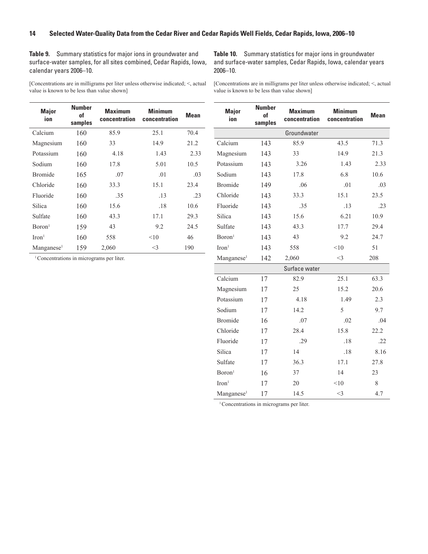<span id="page-21-0"></span>**Table 9.** Summary statistics for major ions in groundwater and surface-water samples, for all sites combined, Cedar Rapids, Iowa, calendar years 2006–10.

[Concentrations are in milligrams per liter unless otherwise indicated; <, actual value is known to be less than value shown]

**Table 10.** Summary statistics for major ions in groundwater and surface-water samples, Cedar Rapids, Iowa, calendar years 2006–10.

[Concentrations are in milligrams per liter unless otherwise indicated; <, actual value is known to be less than value shown]

**Number**

| <b>Major</b><br>ion    | <b>Number</b><br>of<br>samples | <b>Maximum</b><br>concentration | <b>Minimum</b><br>concentration | <b>Mean</b> |
|------------------------|--------------------------------|---------------------------------|---------------------------------|-------------|
| Calcium                | 160                            | 85.9                            | 25.1                            | 70.4        |
| Magnesium              | 160                            | 33                              | 14.9                            | 21.2        |
| Potassium              | 160                            | 4.18                            | 1.43                            | 2.33        |
| Sodium                 | 160                            | 17.8                            | 5.01                            | 10.5        |
| <b>Bromide</b>         | 165                            | .07                             | .01                             | .03         |
| Chloride               | 160                            | 33.3                            | 15.1                            | 23.4        |
| Fluoride               | 160                            | .35                             | .13                             | .23         |
| Silica                 | 160                            | 15.6                            | .18                             | 10.6        |
| Sulfate                | 160                            | 43.3                            | 17.1                            | 29.3        |
| Boron <sup>1</sup>     | 159                            | 43                              | 9.2                             | 24.5        |
| Iron <sup>1</sup>      | 160                            | 558                             | <10                             | 46          |
| Manganese <sup>1</sup> | 159                            | 2,060                           | $<$ 3                           | 190         |

<sup>1</sup>Concentrations in micrograms per liter.

| <b>Major</b><br>ion    | IVUIIIDGI<br><b>of</b><br>samples | <b>Maximum</b><br>concentration | <b>Minimum</b><br>concentration | <b>Mean</b> |
|------------------------|-----------------------------------|---------------------------------|---------------------------------|-------------|
|                        |                                   | Groundwater                     |                                 |             |
| Calcium                | 143                               | 85.9                            | 43.5                            | 71.3        |
| Magnesium              | 143                               | 33                              | 14.9                            | 21.3        |
| Potassium              | 143                               | 3.26                            | 1.43                            | 2.33        |
| Sodium                 | 143                               | 17.8                            | 6.8                             | 10.6        |
| <b>Bromide</b>         | 149                               | .06                             | .01                             | .03         |
| Chloride               | 143                               | 33.3                            | 15.1                            | 23.5        |
| Fluoride               | 143                               | .35                             | .13                             | .23         |
| Silica                 | 143                               | 15.6                            | 6.21                            | 10.9        |
| Sulfate                | 143                               | 43.3                            | 17.7                            | 29.4        |
| Boron <sup>1</sup>     | 143                               | 43                              | 9.2                             | 24.7        |
| Iron <sup>1</sup>      | 143                               | 558                             | <10                             | 51          |
| Manganese <sup>1</sup> | 142                               | 2,060                           | $<$ 3                           | 208         |
|                        |                                   | Surface water                   |                                 |             |
| Calcium                | 17                                | 82.9                            | 25.1                            | 63.3        |
| Magnesium              | 17                                | 25                              | 15.2                            | 20.6        |
| Potassium              | 17                                | 4.18                            | 1.49                            | 2.3         |
| Sodium                 | 17                                | 14.2                            | 5                               | 9.7         |
| <b>Bromide</b>         | 16                                | .07                             | .02                             | .04         |
| Chloride               | 17                                | 28.4                            | 15.8                            | 22.2        |
| Fluoride               | 17                                | .29                             | .18                             | .22         |
| Silica                 | 17                                | 14                              | $.18\,$                         | 8.16        |
| Sulfate                | 17                                | 36.3                            | 17.1                            | 27.8        |
| Boron <sup>1</sup>     | 16                                | 37                              | 14                              | 23          |
| Iron <sup>1</sup>      | 17                                | 20                              | < 10                            | 8           |
| Manganese <sup>1</sup> | 17                                | 14.5                            | $<$ 3                           | 4.7         |

<sup>1</sup> Concentrations in micrograms per liter.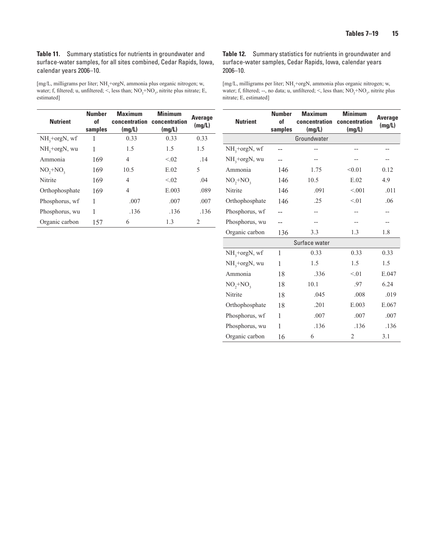<span id="page-22-0"></span>**Table 11.** Summary statistics for nutrients in groundwater and surface-water samples, for all sites combined, Cedar Rapids, Iowa, calendar years 2006–10.

[mg/L, milligrams per liter; NH<sub>3</sub>+orgN, ammonia plus organic nitrogen; w, water; f, filtered; u, unfiltered;  $\leq$ , less than; NO<sub>2</sub>+NO<sub>3</sub>, nitrite plus nitrate; E, estimated]

| <b>Nutrient</b> | <b>Number</b><br>οf<br>samples | <b>Maximum</b><br>concentration<br>(mq/L) | <b>Minimum</b><br>concentration<br>(mq/L) | <b>Average</b><br>(mg/L)      |
|-----------------|--------------------------------|-------------------------------------------|-------------------------------------------|-------------------------------|
| $NH3+orgN, wf$  | 1                              | 0.33                                      | 0.33                                      | 0.33                          |
| $NH3+orgN$ , wu | 1                              | 1.5                                       | 1.5                                       | 1.5                           |
| Ammonia         | 169                            | 4                                         | < 02                                      | .14                           |
| $NO, +NO,$      | 169                            | 10.5                                      | E.02                                      | 5                             |
| Nitrite         | 169                            | 4                                         | < 02                                      | .04                           |
| Orthophosphate  | 169                            | 4                                         | E.003                                     | .089                          |
| Phosphorus, wf  | 1                              | .007                                      | .007                                      | .007                          |
| Phosphorus, wu  | 1                              | .136                                      | .136                                      | .136                          |
| Organic carbon  | 157                            | 6                                         | 1.3                                       | $\mathfrak{D}_{\mathfrak{p}}$ |

**Table 12.** Summary statistics for nutrients in groundwater and surface-water samples, Cedar Rapids, Iowa, calendar years 2006–10.

[mg/L, milligrams per liter; NH<sub>3</sub>+orgN, ammonia plus organic nitrogen; w, water; f, filtered; --, no data; u, unfiltered;  $\le$ , less than;  $NO_2 + NO_3$ , nitrite plus nitrate; E, estimated]

| <b>Nutrient</b> | <b>Number</b><br>of<br>samples | <b>Maximum</b><br>concentration<br>(mg/L) | <b>Minimum</b><br>concentration<br>(mg/L) | <b>Average</b><br>(mg/L) |
|-----------------|--------------------------------|-------------------------------------------|-------------------------------------------|--------------------------|
|                 |                                | Groundwater                               |                                           |                          |
| $NH3+orgN, wf$  |                                |                                           |                                           |                          |
| $NH3+orgN, wu$  |                                |                                           |                                           |                          |
| Ammonia         | 146                            | 1.75                                      | < 0.01                                    | 0.12                     |
| $NO, +NO,$      | 146                            | 10.5                                      | E.02                                      | 4.9                      |
| Nitrite         | 146                            | .091                                      | < 0.01                                    | .011                     |
| Orthophosphate  | 146                            | .25                                       | < 01                                      | .06                      |
| Phosphorus, wf  |                                |                                           |                                           |                          |
| Phosphorus, wu  |                                |                                           |                                           |                          |
| Organic carbon  | 136                            | 3.3                                       | 1.3                                       | 1.8                      |
|                 |                                | Surface water                             |                                           |                          |
| $NH3+orgN, wf$  | 1                              | 0.33                                      | 0.33                                      | 0.33                     |
| $NH3+orgN, wu$  | 1                              | 1.5                                       | 1.5                                       | 1.5                      |
| Ammonia         | 18                             | 336                                       | < 01                                      | E.047                    |
| $NO_2 + NO_3$   | 18                             | 10.1                                      | .97                                       | 6.24                     |
| Nitrite         | 18                             | .045                                      | .008                                      | .019                     |
| Orthophosphate  | 18                             | .201                                      | E.003                                     | E.067                    |
| Phosphorus, wf  | 1                              | .007                                      | .007                                      | .007                     |
| Phosphorus, wu  | 1                              | .136                                      | .136                                      | .136                     |
| Organic carbon  | 16                             | 6                                         | $\overline{2}$                            | 3.1                      |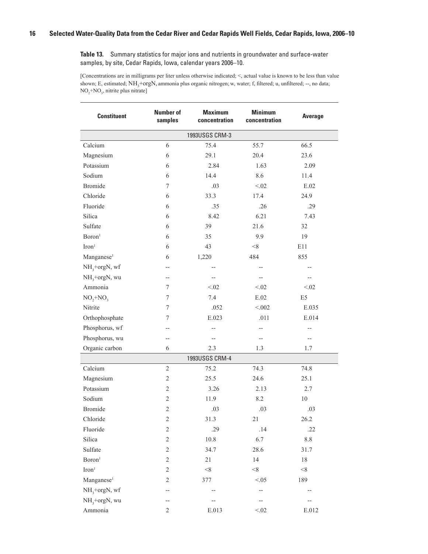<span id="page-23-0"></span>

| <b>Constituent</b>        | <b>Number of</b><br>samples | <b>Maximum</b><br>concentration | <b>Minimum</b><br>concentration | <b>Average</b> |
|---------------------------|-----------------------------|---------------------------------|---------------------------------|----------------|
|                           |                             | 1993USGS CRM-3                  |                                 |                |
| Calcium                   | 6                           | 75.4                            | 55.7                            | 66.5           |
| Magnesium                 | 6                           | 29.1                            | 20.4                            | 23.6           |
| Potassium                 | 6                           | 2.84                            | 1.63                            | 2.09           |
| Sodium                    | 6                           | 14.4                            | 8.6                             | 11.4           |
| <b>Bromide</b>            | $\tau$                      | .03                             | < 0.02                          | E.02           |
| Chloride                  | 6                           | 33.3                            | 17.4                            | 24.9           |
| Fluoride                  | 6                           | .35                             | .26                             | .29            |
| Silica                    | 6                           | 8.42                            | 6.21                            | 7.43           |
| Sulfate                   | 6                           | 39                              | 21.6                            | 32             |
| Boron <sup>1</sup>        | 6                           | 35                              | 9.9                             | 19             |
| Iron <sup>1</sup>         | 6                           | 43                              | < 8                             | E11            |
| Manganese <sup>1</sup>    | 6                           | 1,220                           | 484                             | 855            |
| NH <sub>3</sub> +orgN, wf | --                          |                                 |                                 |                |
| $NH3$ +orgN, wu           | $- -$                       |                                 |                                 |                |
| Ammonia                   | 7                           | < 02                            | < 02                            | < 02           |
| $NO2+NO3$                 | 7                           | 7.4                             | $\mathrm{E}.02$                 | E <sub>5</sub> |
| Nitrite                   | 7                           | .052                            | < 0.002                         | E.035          |
| Orthophosphate            | 7                           | E.023                           | .011                            | E.014          |
| Phosphorus, wf            | --                          |                                 | --                              |                |
| Phosphorus, wu            | --                          |                                 | --                              | --             |
| Organic carbon            | 6                           | 2.3                             | 1.3                             | 1.7            |
|                           |                             | 1993USGS CRM-4                  |                                 |                |
| Calcium                   | 2                           | 75.2                            | 74.3                            | 74.8           |
| Magnesium                 | $\sqrt{2}$                  | 25.5                            | 24.6                            | 25.1           |
| Potassium                 | 2                           | 3.26                            | 2.13                            | 2.7            |
| Sodium                    | $\mathfrak{2}$              | 11.9                            | 8.2                             | $10\,$         |
| <b>Bromide</b>            | $\overline{2}$              | .03                             | .03                             | .03            |
| Chloride                  | $\sqrt{2}$                  | 31.3                            | 21                              | 26.2           |
| Fluoride                  | $\sqrt{2}$                  | .29                             | .14                             | .22            |
| Silica                    | $\overline{c}$              | 10.8                            | 6.7                             | $8.8\,$        |
| Sulfate                   | $\sqrt{2}$                  | 34.7                            | 28.6                            | 31.7           |
| Boron <sup>1</sup>        | $\sqrt{2}$                  | $21\,$                          | 14                              | $18\,$         |
| $\rm Iron^1$              | 2                           | $<\!\!8$                        | $<\!\!8$                        | < 8            |
| Manganese <sup>1</sup>    | 2                           | 377                             | < 0.05                          | 189            |
| NH <sub>3</sub> +orgN, wf |                             |                                 | --                              |                |
| $NH3+orgN, wu$            |                             |                                 |                                 |                |
| Ammonia                   | 2                           | E.013                           | < 0.02                          | E.012          |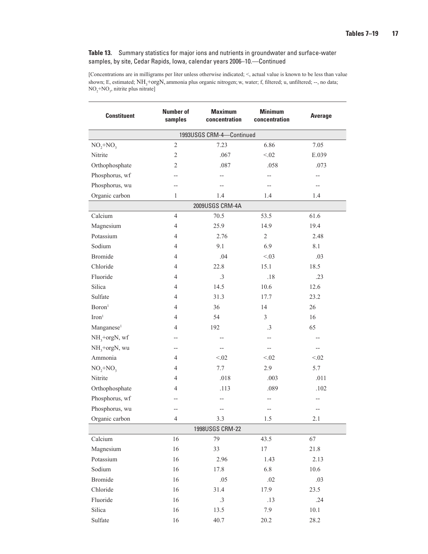| <b>Constituent</b>        | <b>Number of</b><br>samples | <b>Maximum</b><br>concentration | <b>Minimum</b><br>concentration | <b>Average</b> |  |  |  |
|---------------------------|-----------------------------|---------------------------------|---------------------------------|----------------|--|--|--|
| 1993USGS CRM-4-Continued  |                             |                                 |                                 |                |  |  |  |
| $NO, +NO,$                | $\sqrt{2}$                  | 7.23                            | 6.86                            | 7.05           |  |  |  |
| Nitrite                   | $\overline{2}$              | .067                            | < 02                            | E.039          |  |  |  |
| Orthophosphate            | $\overline{2}$              | .087                            | .058                            | .073           |  |  |  |
| Phosphorus, wf            |                             |                                 |                                 |                |  |  |  |
| Phosphorus, wu            |                             |                                 |                                 |                |  |  |  |
| Organic carbon            | 1                           | 1.4                             | 1.4                             | 1.4            |  |  |  |
|                           |                             | 2009USGS CRM-4A                 |                                 |                |  |  |  |
| Calcium                   | $\overline{4}$              | 70.5                            | 53.5                            | 61.6           |  |  |  |
| Magnesium                 | $\overline{4}$              | 25.9                            | 14.9                            | 19.4           |  |  |  |
| Potassium                 | 4                           | 2.76                            | $\overline{c}$                  | 2.48           |  |  |  |
| Sodium                    | $\overline{4}$              | 9.1                             | 6.9                             | 8.1            |  |  |  |
| <b>Bromide</b>            | $\overline{4}$              | .04                             | < 0.03                          | .03            |  |  |  |
| Chloride                  | 4                           | 22.8                            | 15.1                            | 18.5           |  |  |  |
| Fluoride                  | 4                           | $.3\phantom{0}$                 | .18                             | .23            |  |  |  |
| Silica                    | $\overline{4}$              | 14.5                            | 10.6                            | 12.6           |  |  |  |
| Sulfate                   | $\overline{4}$              | 31.3                            | 17.7                            | 23.2           |  |  |  |
| Boron <sup>1</sup>        | $\overline{4}$              | 36                              | 14                              | 26             |  |  |  |
| Iron <sup>1</sup>         | 4                           | 54                              | $\overline{3}$                  | 16             |  |  |  |
| Manganese <sup>1</sup>    | 4                           | 192                             | $\cdot$ 3                       | 65             |  |  |  |
| NH <sub>3</sub> +orgN, wf |                             | $-$                             | --                              |                |  |  |  |
| $NH3+orgN, wu$            | --                          | $-$                             | $-$                             | $-$            |  |  |  |
| Ammonia                   | $\overline{4}$              | < 02                            | < 02                            | < 0.02         |  |  |  |
| $NO, +NO,$                | 4                           | 7.7                             | 2.9                             | 5.7            |  |  |  |
| Nitrite                   | $\overline{4}$              | .018                            | .003                            | .011           |  |  |  |
| Orthophosphate            | 4                           | .113                            | .089                            | .102           |  |  |  |
| Phosphorus, wf            |                             | $-$                             | --                              |                |  |  |  |
| Phosphorus, wu            | --                          | $\overline{a}$                  |                                 |                |  |  |  |
| Organic carbon            | 4                           | $3.3\,$                         | 1.5                             | 2.1            |  |  |  |
|                           |                             | 1998USGS CRM-22                 |                                 |                |  |  |  |
| Calcium                   | 16                          | 79                              | 43.5                            | 67             |  |  |  |
| Magnesium                 | 16                          | 33                              | 17                              | 21.8           |  |  |  |
| Potassium                 | 16                          | 2.96                            | 1.43                            | 2.13           |  |  |  |
| Sodium                    | 16                          | 17.8                            | 6.8                             | 10.6           |  |  |  |
| <b>Bromide</b>            | 16                          | .05                             | $.02\,$                         | .03            |  |  |  |
| Chloride                  | 16                          | 31.4                            | 17.9                            | 23.5           |  |  |  |
| Fluoride                  | 16                          | $.3\phantom{0}$                 | .13                             | .24            |  |  |  |
| Silica                    | 16                          | 13.5                            | 7.9                             | $10.1\,$       |  |  |  |
| Sulfate                   | 16                          | 40.7                            | 20.2                            | 28.2           |  |  |  |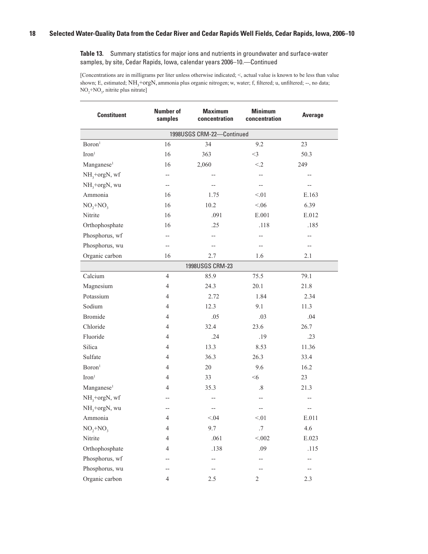| <b>Constituent</b>        | <b>Number of</b><br>samples | <b>Maximum</b><br>concentration | <b>Minimum</b><br>concentration | Average     |
|---------------------------|-----------------------------|---------------------------------|---------------------------------|-------------|
|                           |                             | 1998USGS CRM-22-Continued       |                                 |             |
| Boron <sup>1</sup>        | 16                          | 34                              | 9.2                             | 23          |
| Iron <sup>1</sup>         | 16                          | 363                             | $<$ 3                           | 50.3        |
| Manganese <sup>1</sup>    | 16                          | 2,060                           | $\leq$ 2                        | 249         |
| $NH3+orgN, wf$            | $-$                         |                                 | --                              | --          |
| $NH3+orgN, wu$            | $-$                         |                                 | $-$                             | --          |
| Ammonia                   | 16                          | 1.75                            | < 01                            | E.163       |
| $NO_2 + NO_3$             | 16                          | 10.2                            | < 06                            | 6.39        |
| Nitrite                   | 16                          | .091                            | E.001                           | E.012       |
| Orthophosphate            | 16                          | .25                             | .118                            | .185        |
| Phosphorus, wf            | --                          | --                              | --                              | --          |
| Phosphorus, wu            | $-\!$ $\!-$                 | $\overline{\phantom{a}}$        | $- -$                           | $-\!$ $\!-$ |
| Organic carbon            | 16                          | 2.7                             | 1.6                             | 2.1         |
|                           |                             | 1998USGS CRM-23                 |                                 |             |
| Calcium                   | $\overline{4}$              | 85.9                            | 75.5                            | 79.1        |
| Magnesium                 | 4                           | 24.3                            | 20.1                            | 21.8        |
| Potassium                 | 4                           | 2.72                            | 1.84                            | 2.34        |
| Sodium                    | $\overline{4}$              | 12.3                            | 9.1                             | 11.3        |
| <b>Bromide</b>            | 4                           | .05                             | .03                             | .04         |
| Chloride                  | 4                           | 32.4                            | 23.6                            | 26.7        |
| Fluoride                  | 4                           | .24                             | .19                             | .23         |
| Silica                    | 4                           | 13.3                            | 8.53                            | 11.36       |
| Sulfate                   | $\overline{4}$              | 36.3                            | 26.3                            | 33.4        |
| Boron <sup>1</sup>        | 4                           | $20\,$                          | 9.6                             | 16.2        |
| Iron <sup>1</sup>         | 4                           | 33                              | $<\!\!6$                        | 23          |
| Manganese <sup>1</sup>    | 4                           | 35.3                            | $.8\,$                          | 21.3        |
| $NH3+orgN, wf$            |                             | $\overline{\phantom{a}}$        | $-$                             | --          |
| NH <sub>3</sub> +orgN, wu |                             |                                 | --                              | --          |
| Ammonia                   | 4                           | < 0.04                          | < 01                            | E.011       |
| $NO, +NO,$                | 4                           | 9.7                             | $.7\,$                          | 4.6         |
| Nitrite                   | 4                           | .061                            | < 0.002                         | E.023       |
| Orthophosphate            | 4                           | .138                            | .09                             | .115        |
| Phosphorus, wf            |                             |                                 |                                 | --          |
| Phosphorus, wu            |                             |                                 |                                 | --          |
| Organic carbon            | 4                           | 2.5                             | 2                               | 2.3         |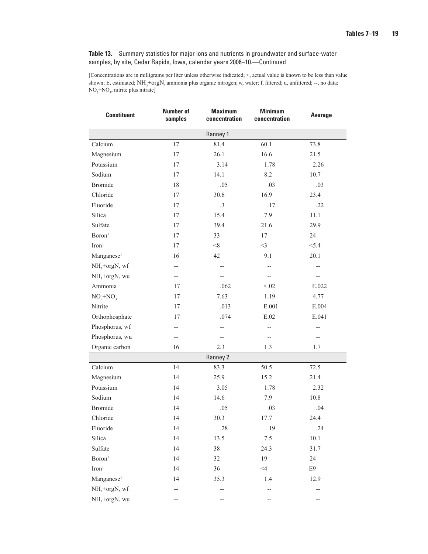| <b>Constituent</b>     | <b>Number of</b><br>samples | <b>Maximum</b><br>concentration | <b>Minimum</b><br>concentration | <b>Average</b> |
|------------------------|-----------------------------|---------------------------------|---------------------------------|----------------|
|                        |                             | Ranney 1                        |                                 |                |
| Calcium                | 17                          | 81.4                            | 60.1                            | 73.8           |
| Magnesium              | 17                          | 26.1                            | 16.6                            | 21.5           |
| Potassium              | 17                          | 3.14                            | 1.78                            | 2.26           |
| Sodium                 | 17                          | 14.1                            | 8.2                             | 10.7           |
| <b>Bromide</b>         | 18                          | .05                             | .03                             | .03            |
| Chloride               | 17                          | 30.6                            | 16.9                            | 23.4           |
| Fluoride               | 17                          | $.3\phantom{0}$                 | .17                             | .22            |
| Silica                 | 17                          | 15.4                            | 7.9                             | 11.1           |
| Sulfate                | 17                          | 39.4                            | 21.6                            | 29.9           |
| Boron <sup>1</sup>     | 17                          | 33                              | 17                              | 24             |
| Iron <sup>1</sup>      | 17                          | < 8                             | $<$ 3                           | < 5.4          |
| Manganese <sup>1</sup> | 16                          | 42                              | 9.1                             | 20.1           |
| $NH3+orgN, wf$         | $-$                         | $-$                             |                                 | $-$            |
| $NH3+orgN, wu$         | $\qquad \qquad -$           | --                              | $-$                             | --             |
| Ammonia                | 17                          | .062                            | < 02                            | E.022          |
| $NO, +NO,$             | $17\,$                      | 7.63                            | 1.19                            | 4.77           |
| Nitrite                | 17                          | .013                            | E.001                           | E.004          |
| Orthophosphate         | 17                          | .074                            | $\mathrm{E.02}$                 | E.041          |
| Phosphorus, wf         | --                          | --                              |                                 | --             |
| Phosphorus, wu         | $- -$                       | $-$                             | $-$                             | $- -$          |
| Organic carbon         | 16                          | 2.3                             | 1.3                             | 1.7            |
|                        |                             | Ranney 2                        |                                 |                |
| Calcium                | 14                          | 83.3                            | 50.5                            | 72.5           |
| Magnesium              | 14                          | 25.9                            | 15.2                            | 21.4           |
| Potassium              | 14                          | 3.05                            | 1.78                            | 2.32           |
| Sodium                 | 14                          | 14.6                            | 7.9                             | 10.8           |
| <b>Bromide</b>         | 14                          | .05                             | .03                             | .04            |
| Chloride               | 14                          | 30.3                            | 17.7                            | 24.4           |
| Fluoride               | 14                          | .28                             | .19                             | .24            |
| Silica                 | 14                          | 13.5                            | $7.5\,$                         | $10.1\,$       |
| Sulfate                | 14                          | $38\,$                          | 24.3                            | 31.7           |
| Boron <sup>1</sup>     | 14                          | 32                              | 19                              | 24             |
| $\mathrm{Iron}^1$      | 14                          | 36                              | $<\!\!4$                        | E9             |
| Manganese <sup>1</sup> | 14                          | 35.3                            | 1.4                             | 12.9           |
| $NH3+orgN, wf$         |                             |                                 |                                 |                |
| $NH3+orgN, wu$         |                             |                                 |                                 |                |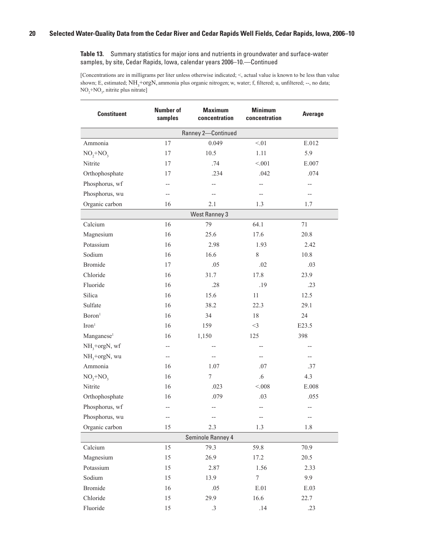| <b>Constituent</b>        | <b>Number of</b><br>samples | <b>Maximum</b><br>concentration | <b>Minimum</b><br>concentration | <b>Average</b>                |
|---------------------------|-----------------------------|---------------------------------|---------------------------------|-------------------------------|
|                           |                             | Ranney 2-Continued              |                                 |                               |
| Ammonia                   | 17                          | 0.049                           | < 01                            | E.012                         |
| $NO_2 + NO_3$             | 17                          | 10.5                            | 1.11                            | 5.9                           |
| Nitrite                   | 17                          | .74                             | < 0.01                          | E.007                         |
| Orthophosphate            | 17                          | .234                            | .042                            | .074                          |
| Phosphorus, wf            | --                          | --                              | $\overline{\phantom{a}}$        | --                            |
| Phosphorus, wu            | $- -$                       | $-$                             | $-$                             | $- -$                         |
| Organic carbon            | 16                          | 2.1                             | 1.3                             | 1.7                           |
|                           |                             | <b>West Ranney 3</b>            |                                 |                               |
| Calcium                   | 16                          | 79                              | 64.1                            | 71                            |
| Magnesium                 | 16                          | 25.6                            | 17.6                            | 20.8                          |
| Potassium                 | 16                          | 2.98                            | 1.93                            | 2.42                          |
| Sodium                    | 16                          | 16.6                            | $\,$ 8 $\,$                     | 10.8                          |
| <b>Bromide</b>            | 17                          | .05                             | .02                             | .03                           |
| Chloride                  | 16                          | 31.7                            | 17.8                            | 23.9                          |
| Fluoride                  | 16                          | .28                             | .19                             | .23                           |
| Silica                    | 16                          | 15.6                            | 11                              | 12.5                          |
| Sulfate                   | 16                          | 38.2                            | 22.3                            | 29.1                          |
| Boron <sup>1</sup>        | 16                          | 34                              | 18                              | 24                            |
| Iron <sup>1</sup>         | 16                          | 159                             | $<$ 3                           | E23.5                         |
| Manganese <sup>1</sup>    | 16                          | 1,150                           | 125                             | 398                           |
| NH <sub>3</sub> +orgN, wf | --                          | --                              | $-$                             | $-$                           |
| $NH3+orgN, wu$            | $-\!$ $\!-$                 |                                 |                                 | --                            |
| Ammonia                   | 16                          | 1.07                            | .07                             | .37                           |
| $NO, +NO,$                | 16                          | 7                               | $.6\,$                          | 4.3                           |
| Nitrite                   | 16                          | .023                            | < 0.008                         | $\boldsymbol{\mathrm{E.008}}$ |
| Orthophosphate            | 16                          | .079                            | .03                             | .055                          |
| Phosphorus, wf            | --                          | --                              | $\overline{\phantom{a}}$        | --                            |
| Phosphorus, wu            |                             |                                 |                                 |                               |
| Organic carbon            | 15                          | 2.3                             | 1.3                             | 1.8                           |
|                           |                             | Seminole Ranney 4               |                                 |                               |
| Calcium                   | 15                          | 79.3                            | 59.8                            | 70.9                          |
| Magnesium                 | 15                          | 26.9                            | 17.2                            | 20.5                          |
| Potassium                 | 15                          | 2.87                            | 1.56                            | 2.33                          |
| Sodium                    | 15                          | 13.9                            | $\boldsymbol{7}$                | 9.9                           |
| <b>Bromide</b>            | 16                          | .05                             | $E.01$                          | E.03                          |
| Chloride                  | 15                          | 29.9                            | 16.6                            | 22.7                          |
| Fluoride                  | 15                          | $.3\phantom{0}$                 | .14                             | .23                           |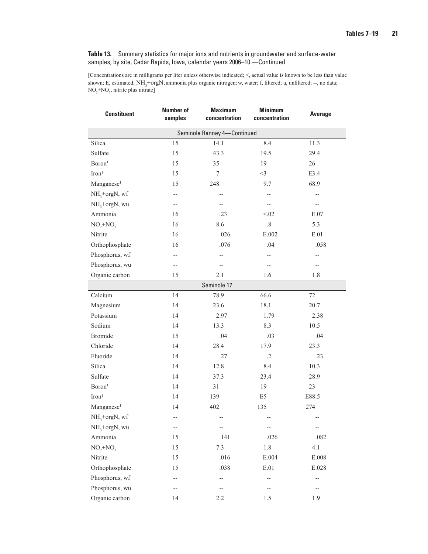| <b>Constituent</b>        | <b>Number of</b><br>samples | <b>Maximum</b><br>concentration | <b>Minimum</b><br>concentration | Average |
|---------------------------|-----------------------------|---------------------------------|---------------------------------|---------|
|                           |                             | Seminole Ranney 4-Continued     |                                 |         |
| Silica                    | 15                          | 14.1                            | 8.4                             | 11.3    |
| Sulfate                   | 15                          | 43.3                            | 19.5                            | 29.4    |
| Boron <sup>1</sup>        | 15                          | 35                              | 19                              | 26      |
| Iron <sup>1</sup>         | 15                          | 7                               | $<$ 3                           | E3.4    |
| Manganese <sup>1</sup>    | 15                          | 248                             | 9.7                             | 68.9    |
| NH <sub>3</sub> +orgN, wf | --                          | $- -$                           | --                              | $-$     |
| NH <sub>3</sub> +orgN, wu | --                          |                                 | --                              | --      |
| Ammonia                   | 16                          | .23                             | < 02                            | E.07    |
| $NO_2 + NO_3$             | 16                          | 8.6                             | $.8\,$                          | 5.3     |
| Nitrite                   | 16                          | .026                            | E.002                           | E.01    |
| Orthophosphate            | 16                          | .076                            | .04                             | .058    |
| Phosphorus, wf            | --                          | $-$                             | $- -$                           | --      |
| Phosphorus, wu            | --                          | $-$                             | --                              | --      |
| Organic carbon            | 15                          | 2.1                             | 1.6                             | 1.8     |
|                           |                             | Seminole 17                     |                                 |         |
| Calcium                   | 14                          | 78.9                            | 66.6                            | 72      |
| Magnesium                 | 14                          | 23.6                            | 18.1                            | 20.7    |
| Potassium                 | 14                          | 2.97                            | 1.79                            | 2.38    |
| Sodium                    | 14                          | 13.3                            | 8.3                             | 10.5    |
| <b>Bromide</b>            | 15                          | .04                             | .03                             | .04     |
| Chloride                  | 14                          | 28.4                            | 17.9                            | 23.3    |
| Fluoride                  | 14                          | .27                             | $\cdot$ .2                      | .23     |
| Silica                    | 14                          | 12.8                            | 8.4                             | 10.3    |
| Sulfate                   | 14                          | 37.3                            | 23.4                            | 28.9    |
| Boron <sup>1</sup>        | 14                          | 31                              | 19                              | 23      |
| Iron <sup>1</sup>         | 14                          | 139                             | E5                              | E88.5   |
| Manganese <sup>1</sup>    | 14                          | 402                             | 135                             | 274     |
| $NH3+orgN, wf$            |                             |                                 |                                 |         |
| $NH3+orgN, wu$            | --                          | $\overline{\phantom{a}}$        | --                              | --      |
| Ammonia                   | 15                          | .141                            | .026                            | .082    |
| $NO, +NO,$                | 15                          | 7.3                             | $1.8\,$                         | 4.1     |
| Nitrite                   | 15                          | .016                            | E.004                           | E.008   |
| Orthophosphate            | 15                          | .038                            | E.01                            | E.028   |
| Phosphorus, wf            | --                          | --                              | --                              | --      |
| Phosphorus, wu            | --                          |                                 | --                              | $-$     |
| Organic carbon            | 14                          | 2.2                             | 1.5                             | 1.9     |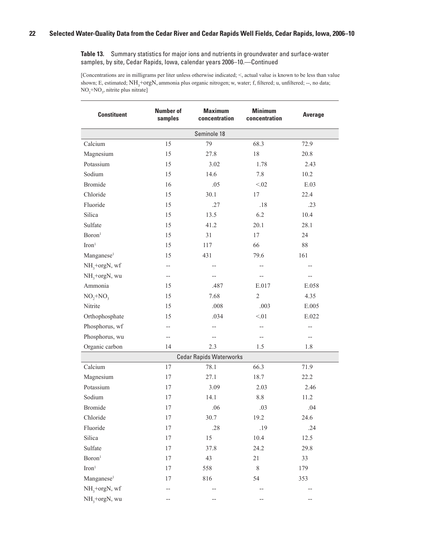| <b>Constituent</b>        | <b>Number of</b><br>samples | <b>Maximum</b><br>concentration | <b>Minimum</b><br>concentration | <b>Average</b> |
|---------------------------|-----------------------------|---------------------------------|---------------------------------|----------------|
|                           |                             | Seminole 18                     |                                 |                |
| Calcium                   | 15                          | 79                              | 68.3                            | 72.9           |
| Magnesium                 | 15                          | 27.8                            | 18                              | 20.8           |
| Potassium                 | 15                          | 3.02                            | 1.78                            | 2.43           |
| Sodium                    | 15                          | 14.6                            | 7.8                             | 10.2           |
| <b>Bromide</b>            | 16                          | .05                             | < 0.02                          | E.03           |
| Chloride                  | 15                          | 30.1                            | $17\,$                          | 22.4           |
| Fluoride                  | 15                          | .27                             | .18                             | .23            |
| Silica                    | 15                          | 13.5                            | 6.2                             | 10.4           |
| Sulfate                   | 15                          | 41.2                            | 20.1                            | 28.1           |
| Boron <sup>1</sup>        | 15                          | 31                              | 17                              | 24             |
| Iron <sup>1</sup>         | 15                          | 117                             | 66                              | $88\,$         |
| Manganese <sup>1</sup>    | 15                          | 431                             | 79.6                            | 161            |
| NH <sub>3</sub> +orgN, wf | $- -$                       | $-$                             |                                 | --             |
| $NH3+orgN, wu$            | $\qquad \qquad -$           |                                 | --                              | --             |
| Ammonia                   | 15                          | .487                            | E.017                           | E.058          |
| $NO_2 + NO_3$             | 15                          | 7.68                            | $\overline{2}$                  | 4.35           |
| Nitrite                   | 15                          | .008                            | .003                            | E.005          |
| Orthophosphate            | 15                          | .034                            | < 01                            | E.022          |
| Phosphorus, wf            | $-$                         |                                 | --                              | $-$            |
| Phosphorus, wu            | $\qquad \qquad -$           |                                 |                                 | $-$            |
| Organic carbon            | 14                          | 2.3                             | 1.5                             | 1.8            |
|                           |                             | <b>Cedar Rapids Waterworks</b>  |                                 |                |
| Calcium                   | 17                          | 78.1                            | 66.3                            | 71.9           |
| Magnesium                 | 17                          | 27.1                            | 18.7                            | 22.2           |
| Potassium                 | 17                          | 3.09                            | 2.03                            | 2.46           |
| Sodium                    | 17                          | 14.1                            | $8.8\,$                         | 11.2           |
| <b>Bromide</b>            | 17                          | .06                             | .03                             | .04            |
| Chloride                  | $17\,$                      | 30.7                            | 19.2                            | 24.6           |
| Fluoride                  | 17                          | .28                             | .19                             | .24            |
| Silica                    | $17\,$                      | 15                              | 10.4                            | 12.5           |
| Sulfate                   | 17                          | 37.8                            | 24.2                            | 29.8           |
| Boron <sup>1</sup>        | 17                          | 43                              | 21                              | 33             |
| $\mathrm{Iron}^1$         | 17                          | 558                             | $\,$ 8 $\,$                     | 179            |
| Manganese <sup>1</sup>    | 17                          | 816                             | 54                              | 353            |
| NH <sub>3</sub> +orgN, wf | --                          |                                 |                                 |                |
| $NH3+orgN, wu$            |                             |                                 |                                 |                |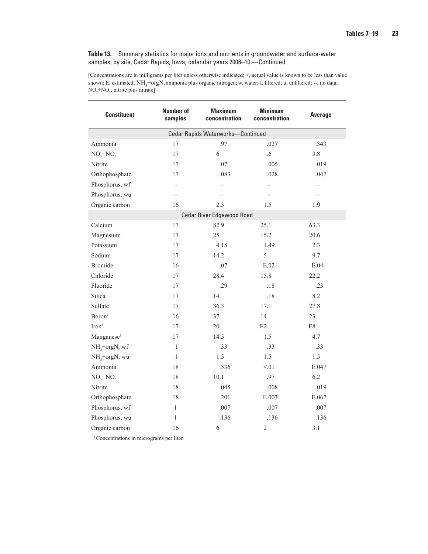[Concentrations are in milligrams per liter unless otherwise indicated; <, actual value is known to be less than value shown; E, estimated; NH<sub>3</sub>+orgN, ammonia plus organic nitrogen; w, water; f, filtered; u, unfiltered; --, no data;  $NO<sub>2</sub>+NO<sub>3</sub>$ , nitrite plus nitrate]

| <b>Constituent</b>        | <b>Number of</b><br>samples | <b>Maximum</b><br><b>Minimum</b><br>concentration<br>concentration |            | Average       |
|---------------------------|-----------------------------|--------------------------------------------------------------------|------------|---------------|
|                           |                             | Cedar Rapids Waterworks-Continued                                  |            |               |
| Ammonia                   | 17                          | .97                                                                | .027       | .343          |
| $NO, +NO,$                | 17                          | 6                                                                  | $.6\,$     | 3.8           |
| Nitrite                   | 17                          | .07                                                                | .005       | .019          |
| Orthophosphate            | 17                          | .083                                                               | .028       | .047          |
| Phosphorus, wf            |                             | $\overline{a}$                                                     |            |               |
| Phosphorus, wu            | $\overline{a}$              | $\overline{a}$                                                     | $=$ $-$    | $-$           |
| Organic carbon            | 16                          | 2.3                                                                | 1.5        | 1.9           |
|                           |                             | Cedar River Edgewood Road                                          |            |               |
| Calcium                   | 17                          | 82.9                                                               | 25.1       | 63.3          |
| Magnesium                 | 17                          | 25                                                                 | 15.2       | 20.6          |
| Potassium                 | 17                          | 4.18                                                               | 1.49       | 2.3           |
| Sodium                    | 17                          | 14.2                                                               | 5          | 9.7           |
| <b>Bromide</b>            | 16                          | .07                                                                | E.02       | E.04          |
| Chloride                  | 17                          | 28.4                                                               | 15.8       | 22.2          |
| Fluoride                  | 17                          | .29                                                                | .18        | .23           |
| Silica                    | 17                          | 14                                                                 | .18        | 8.2           |
| Sulfate                   | 17                          | 36.3                                                               | 17.1       | 27.8          |
| Boron <sup>1</sup>        | 16                          | 37                                                                 | 14         | 23            |
| Iron <sup>1</sup>         | 17                          | 20                                                                 | E2         | $\mathrm{E}8$ |
| Manganese <sup>1</sup>    | 17                          | 14.5                                                               | 1.5        | 4.7           |
| NH <sub>3</sub> +orgN, wf | 1                           | .33                                                                | .33        | .33           |
| NH <sub>3</sub> +orgN, wu | $\mathbf{1}$                | 1.5                                                                | 1.5        | 1.5           |
| Ammonia                   | 18                          | .336                                                               | $< 01$     | E.047         |
| $NO, +NO,$                | 18                          | 10.1                                                               | .97        | 6.2           |
| Nitrite                   | 18                          | .045                                                               | $.008$     | .019          |
| Orthophosphate            | 18                          | .201                                                               | E.003      | E.067         |
| Phosphorus, wf            | $\mathbf{1}$                | .007                                                               | .007       | .007          |
| Phosphorus, wu            | 1                           | .136                                                               | .136       | .136          |
| Organic carbon            | 16                          | 6                                                                  | $\sqrt{2}$ | 3.1           |

<sup>1</sup> Concentrations in micrograms per liter.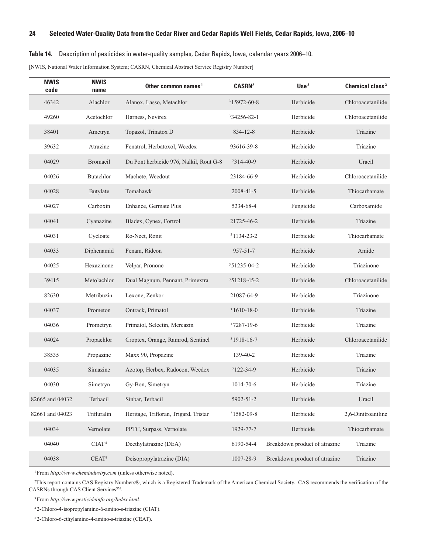#### <span id="page-31-0"></span>**Table 14.** Description of pesticides in water-quality samples, Cedar Rapids, Iowa, calendar years 2006–10.

[NWIS, National Water Information System; CASRN, Chemical Abstract Service Registry Number]

| <b>NWIS</b><br>code | <b>NWIS</b><br>name | Other common names <sup>1</sup>         | <b>CASRN<sup>2</sup></b> | Use <sup>3</sup>              | Chemical class <sup>3</sup> |
|---------------------|---------------------|-----------------------------------------|--------------------------|-------------------------------|-----------------------------|
| 46342               | Alachlor            | Alanox, Lasso, Metachlor                | $315972 - 60 - 8$        | Herbicide                     | Chloroacetanilide           |
| 49260               | Acetochlor          | Harness, Nevirex                        | 334256-82-1              | Herbicide                     | Chloroacetanilide           |
| 38401               | Ametryn             | Topazol, Trinatox D                     | $834 - 12 - 8$           | Herbicide                     | Triazine                    |
| 39632               | Atrazine            | Fenatrol, Herbatoxol, Weedex            | 93616-39-8               | Herbicide                     | Triazine                    |
| 04029               | <b>Bromacil</b>     | Du Pont herbicide 976, Nalkil, Rout G-8 | $3314 - 40 - 9$          | Herbicide                     | Uracil                      |
| 04026               | Butachlor           | Machete, Weedout                        | 23184-66-9               | Herbicide                     | Chloroacetanilide           |
| 04028               | Butylate            | Tomahawk                                | 2008-41-5                | Herbicide                     | Thiocarbamate               |
| 04027               | Carboxin            | Enhance, Germate Plus                   | 5234-68-4                | Fungicide                     | Carboxamide                 |
| 04041               | Cyanazine           | Bladex, Cynex, Fortrol                  | 21725-46-2               | Herbicide                     | Triazine                    |
| 04031               | Cycloate            | Ro-Neet, Ronit                          | 31134-23-2               | Herbicide                     | Thiocarbamate               |
| 04033               | Diphenamid          | Fenam, Rideon                           | $957 - 51 - 7$           | Herbicide                     | Amide                       |
| 04025               | Hexazinone          | Velpar, Pronone                         | 351235-04-2              | Herbicide                     | Triazinone                  |
| 39415               | Metolachlor         | Dual Magnum, Pennant, Primextra         | 351218-45-2              | Herbicide                     | Chloroacetanilide           |
| 82630               | Metribuzin          | Lexone, Zenkor                          | 21087-64-9               | Herbicide                     | Triazinone                  |
| 04037               | Prometon            | Ontrack, Primatol                       | $31610 - 18 - 0$         | Herbicide                     | Triazine                    |
| 04036               | Prometryn           | Primatol, Selectin, Mercazin            | $37287 - 19 - 6$         | Herbicide                     | Triazine                    |
| 04024               | Propachlor          | Croptex, Orange, Ramrod, Sentinel       | $31918 - 16 - 7$         | Herbicide                     | Chloroacetanilide           |
| 38535               | Propazine           | Maxx 90, Propazine                      | 139-40-2                 | Herbicide                     | Triazine                    |
| 04035               | Simazine            | Azotop, Herbex, Radocon, Weedex         | $3122 - 34 - 9$          | Herbicide                     | Triazine                    |
| 04030               | Simetryn            | Gy-Bon, Simetryn                        | 1014-70-6                | Herbicide                     | Triazine                    |
| 82665 and 04032     | Terbacil            | Sinbar, Terbacil                        | 5902-51-2                | Herbicide                     | Uracil                      |
| 82661 and 04023     | Trifluralin         | Heritage, Trifloran, Trigard, Tristar   | 31582-09-8               | Herbicide                     | 2,6-Dinitroaniline          |
| 04034               | Vernolate           | PPTC, Surpass, Vernolate                | 1929-77-7                | Herbicide                     | Thiocarbamate               |
| 04040               | CIAT <sup>4</sup>   | Deethylatrazine (DEA)                   | 6190-54-4                | Breakdown product of atrazine | Triazine                    |
| 04038               | $CEAT^5$            | Deisopropylatrazine (DIA)               | 1007-28-9                | Breakdown product of atrazine | Triazine                    |

1From *http://www.chemindustry.com* (unless otherwise noted).

 This report contains CAS Registry Numbers®, which is a Registered Trademark of the American Chemical Society. CAS recommends the verification of the CASRNs through CAS Client Services<sup>SM</sup>.

3From *http://www.pesticideinfo.org/Index.html.*

2-Chloro-4-isopropylamino-6-amino-s-triazine (CIAT).

2-Chloro-6-ethylamino-4-amino-s-triazine (CEAT).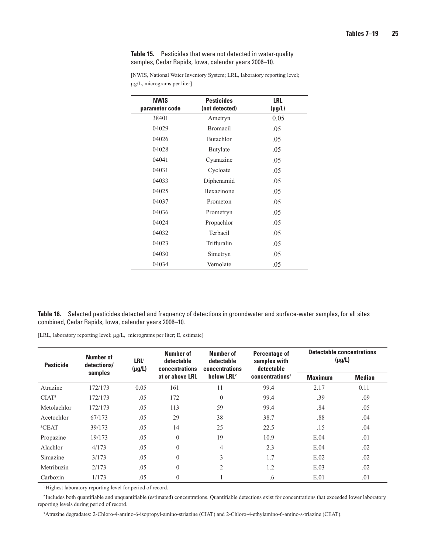#### <span id="page-32-0"></span>**Table 15.** Pesticides that were not detected in water-quality samples, Cedar Rapids, Iowa, calendar years 2006–10.

| <b>NWIS</b><br>parameter code | <b>Pesticides</b><br>(not detected) | <b>LRL</b><br>$(\mu g/L)$ |
|-------------------------------|-------------------------------------|---------------------------|
| 38401                         | Ametryn                             | 0.05                      |
| 04029                         | <b>Bromacil</b>                     | .05                       |
| 04026                         | <b>Butachlor</b>                    | .05                       |
| 04028                         | <b>Butylate</b>                     | .05                       |
| 04041                         | Cyanazine                           | .05                       |
| 04031                         | Cycloate                            | .05                       |
| 04033                         | Diphenamid                          | .05                       |
| 04025                         | Hexazinone                          | .05                       |
| 04037                         | Prometon                            | .05                       |
| 04036                         | Prometryn                           | .05                       |
| 04024                         | Propachlor                          | .05                       |
| 04032                         | Terbacil                            | .05                       |
| 04023                         | Trifluralin                         | .05                       |
| 04030                         | Simetryn                            | .05                       |
| 04034                         | Vernolate                           | .05                       |

[NWIS, National Water Inventory System; LRL, laboratory reporting level; µg/L, micrograms per liter]

**Table 16.** Selected pesticides detected and frequency of detections in groundwater and surface-water samples, for all sites combined, Cedar Rapids, Iowa, calendar years 2006–10.

[LRL, laboratory reporting level; µg/L, micrograms per liter; E, estimate]

| <b>Pesticide</b>  | Number of<br>detections/ | Number of<br>Number of<br>LRL <sup>1</sup><br>detectable<br>detectable<br>$(\mu g/L)$<br><b>concentrations</b><br>concentrations<br>samples | <b>Percentage of</b><br>samples with<br>detectable | <b>Detectable concentrations</b><br>$(\mu g/L)$ |                             |                |               |
|-------------------|--------------------------|---------------------------------------------------------------------------------------------------------------------------------------------|----------------------------------------------------|-------------------------------------------------|-----------------------------|----------------|---------------|
|                   |                          |                                                                                                                                             | at or above LRL                                    | below LRL <sup>2</sup>                          | concentrations <sup>2</sup> | <b>Maximum</b> | <b>Median</b> |
| Atrazine          | 172/173                  | 0.05                                                                                                                                        | 161                                                | 11                                              | 99.4                        | 2.17           | 0.11          |
| CIAT <sup>3</sup> | 172/173                  | .05                                                                                                                                         | 172                                                | $\theta$                                        | 99.4                        | .39            | .09           |
| Metolachlor       | 172/173                  | .05                                                                                                                                         | 113                                                | 59                                              | 99.4                        | .84            | .05           |
| Acetochlor        | 67/173                   | .05                                                                                                                                         | 29                                                 | 38                                              | 38.7                        | .88            | .04           |
| <sup>3</sup> CEAT | 39/173                   | .05                                                                                                                                         | 14                                                 | 25                                              | 22.5                        | .15            | .04           |
| Propazine         | 19/173                   | .05                                                                                                                                         | $\theta$                                           | 19                                              | 10.9                        | E.04           | .01           |
| Alachlor          | 4/173                    | .05                                                                                                                                         | $\theta$                                           | 4                                               | 2.3                         | E.04           | .02           |
| Simazine          | 3/173                    | .05                                                                                                                                         | $\theta$                                           | 3                                               | 1.7                         | E.02           | .02           |
| Metribuzin        | 2/173                    | .05                                                                                                                                         | $\theta$                                           | $\overline{2}$                                  | 1.2                         | E.03           | .02           |
| Carboxin          | 1/173                    | .05                                                                                                                                         | $\theta$                                           |                                                 | .6                          | E.01           | .01           |

<sup>1</sup>Highest laboratory reporting level for period of record.

<sup>2</sup> Includes both quantifiable and unquantifiable (estimated) concentrations. Quantifiable detections exist for concentrations that exceeded lower laboratory reporting levels during period of record.

3  Atrazine degradates: 2-Chloro-4-amino-6-isopropyl-amino-striazine (CIAT) and 2-Chloro-4-ethylamino-6-amino-s-triazine (CEAT).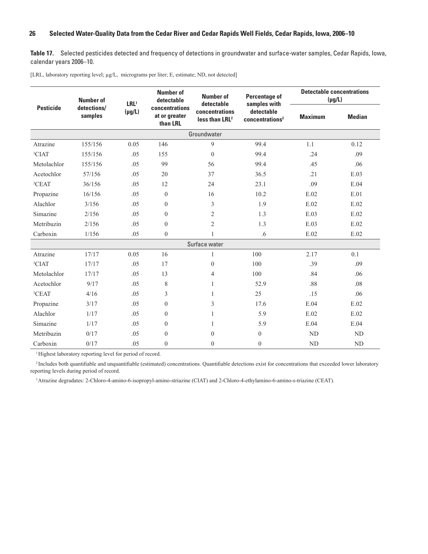<span id="page-33-0"></span>**Table 17.** Selected pesticides detected and frequency of detections in groundwater and surface-water samples, Cedar Rapids, Iowa, calendar years 2006–10.

[LRL, laboratory reporting level; µg/L, micrograms per liter; E, estimate; ND, not detected]

|                                            | <b>Number of</b> | LRL <sup>1</sup> | <b>Number of</b><br><b>Number of</b><br>detectable<br>detectable |                                              | <b>Percentage of</b><br>samples with      | <b>Detectable concentrations</b><br>$(\mu g/L)$ |               |
|--------------------------------------------|------------------|------------------|------------------------------------------------------------------|----------------------------------------------|-------------------------------------------|-------------------------------------------------|---------------|
| <b>Pesticide</b><br>detections/<br>samples |                  | $(\mu g/L)$      | concentrations<br>at or greater<br>than LRL                      | concentrations<br>less than LRL <sup>2</sup> | detectable<br>concentrations <sup>2</sup> | <b>Maximum</b>                                  | <b>Median</b> |
|                                            |                  |                  |                                                                  | Groundwater                                  |                                           |                                                 |               |
| Atrazine                                   | 155/156          | 0.05             | 146                                                              | $\mathbf{Q}$                                 | 99.4                                      | 1.1                                             | 0.12          |
| <sup>3</sup> CIAT                          | 155/156          | .05              | 155                                                              | $\theta$                                     | 99.4                                      | .24                                             | .09           |
| Metolachlor                                | 155/156          | .05              | 99                                                               | 56                                           | 99.4                                      | .45                                             | .06           |
| Acetochlor                                 | 57/156           | .05              | 20                                                               | 37                                           | 36.5                                      | .21                                             | E.03          |
| ${}^{3}$ CEAT                              | 36/156           | .05              | 12                                                               | 24                                           | 23.1                                      | .09                                             | E.04          |
| Propazine                                  | 16/156           | .05              | $\theta$                                                         | 16                                           | 10.2                                      | E.02                                            | E.01          |
| Alachlor                                   | 3/156            | .05              | $\theta$                                                         | 3                                            | 1.9                                       | E.02                                            | E.02          |
| Simazine                                   | 2/156            | .05              | $\theta$                                                         | $\overline{c}$                               | 1.3                                       | E.03                                            | E.02          |
| Metribuzin                                 | 2/156            | .05              | $\theta$                                                         | $\overline{2}$                               | 1.3                                       | E.03                                            | E.02          |
| Carboxin                                   | 1/156            | .05              | $\theta$                                                         | 1                                            | .6                                        | E.02                                            | E.02          |
|                                            |                  |                  |                                                                  | Surface water                                |                                           |                                                 |               |
| Atrazine                                   | 17/17            | 0.05             | 16                                                               | 1                                            | 100                                       | 2.17                                            | 0.1           |
| <sup>3</sup> CIAT                          | 17/17            | .05              | 17                                                               | $\theta$                                     | 100                                       | .39                                             | .09           |
| Metolachlor                                | 17/17            | .05              | 13                                                               | 4                                            | 100                                       | .84                                             | .06           |
| Acetochlor                                 | 9/17             | .05              | 8                                                                | 1                                            | 52.9                                      | .88                                             | .08           |
| ${}^{3}$ CEAT                              | 4/16             | .05              | 3                                                                | $\mathbf{1}$                                 | 25                                        | .15                                             | .06           |
| Propazine                                  | 3/17             | .05              | $\boldsymbol{0}$                                                 | 3                                            | 17.6                                      | E.04                                            | E.02          |
| Alachlor                                   | 1/17             | .05              | $\theta$                                                         | 1                                            | 5.9                                       | E.02                                            | E.02          |
| Simazine                                   | 1/17             | .05              | $\theta$                                                         | 1                                            | 5.9                                       | E.04                                            | E.04          |
| Metribuzin                                 | 0/17             | .05              | $\theta$                                                         | $\Omega$                                     | $\theta$                                  | ND                                              | ND            |
| Carboxin                                   | 0/17             | .05              | $\theta$                                                         | $\theta$                                     | $\overline{0}$                            | ND                                              | ND            |

<sup>1</sup>Highest laboratory reporting level for period of record.

<sup>2</sup> Includes both quantifiable and unquantifiable (estimated) concentrations. Quantifiable detections exist for concentrations that exceeded lower laboratory reporting levels during period of record.

3Atrazine degradates: 2-Chloro-4-amino-6-isopropyl-amino-striazine (CIAT) and 2-Chloro-4-ethylamino-6-amino-s-triazine (CEAT).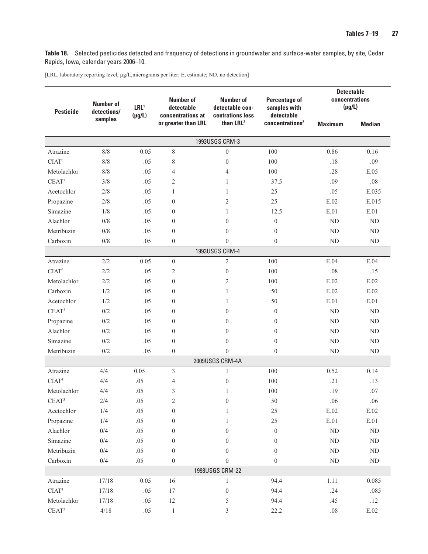<span id="page-34-0"></span>**Table 18.** Selected pesticides detected and frequency of detections in groundwater and surface-water samples, by site, Cedar Rapids, Iowa, calendar years 2006–10.

[LRL, laboratory reporting level; µg/L,micrograms per liter; E, estimate; ND, no detection]

| <b>Pesticide</b>  | <b>Number of</b><br>detections/                                    | LRL <sup>1</sup> | <b>Number of</b><br>detectable            | Number of<br>detectable con-              | <b>Detectable</b><br>concentrations<br><b>Percentage of</b><br>$(\mu g/L)$<br>samples with |                 |            |
|-------------------|--------------------------------------------------------------------|------------------|-------------------------------------------|-------------------------------------------|--------------------------------------------------------------------------------------------|-----------------|------------|
|                   | $(\mu g/L)$<br>concentrations at<br>samples<br>or greater than LRL |                  | centrations less<br>than LRL <sup>2</sup> | detectable<br>concentrations <sup>2</sup> | <b>Maximum</b>                                                                             | <b>Median</b>   |            |
|                   |                                                                    |                  |                                           | 1993USGS CRM-3                            |                                                                                            |                 |            |
| Atrazine          | $8/8$                                                              | 0.05             | 8                                         | $\mathbf{0}$                              | 100                                                                                        | 0.86            | 0.16       |
| CIAT <sup>3</sup> | 8/8                                                                | .05              | 8                                         | $\boldsymbol{0}$                          | 100                                                                                        | .18             | .09        |
| Metolachlor       | 8/8                                                                | .05              | 4                                         | $\overline{4}$                            | 100                                                                                        | .28             | E.05       |
| CEAT <sup>3</sup> | 3/8                                                                | .05              | $\overline{c}$                            | 1                                         | 37.5                                                                                       | .09             | .08        |
| Acetochlor        | 2/8                                                                | .05              | 1                                         | $\mathbf{1}$                              | 25                                                                                         | .05             | E.035      |
| Propazine         | 2/8                                                                | .05              | $\theta$                                  | $\overline{2}$                            | 25                                                                                         | E.02            | E.015      |
| Simazine          | 1/8                                                                | .05              | $\theta$                                  | $\mathbf{1}$                              | 12.5                                                                                       | E.01            | E.01       |
| Alachlor          | $0/8$                                                              | .05              | $\mathbf{0}$                              | $\theta$                                  | $\boldsymbol{0}$                                                                           | ND              | ND         |
| Metribuzin        | $0/8$                                                              | .05              | $\theta$                                  | $\theta$                                  | $\theta$                                                                                   | ND              | ND         |
| Carboxin          | $0/8$                                                              | .05              | $\theta$                                  | $\theta$                                  | $\theta$                                                                                   | ND              | $\rm ND$   |
|                   |                                                                    |                  |                                           | 1993USGS CRM-4                            |                                                                                            |                 |            |
| Atrazine          | 2/2                                                                | 0.05             | $\theta$                                  | $\overline{2}$                            | 100                                                                                        | E.04            | E.04       |
| CIAT <sup>3</sup> | 2/2                                                                | .05              | 2                                         | $\overline{0}$                            | 100                                                                                        | .08             | .15        |
| Metolachlor       | 2/2                                                                | .05              | $\mathbf{0}$                              | $\mathbf{2}$                              | 100                                                                                        | E.02            | E.02       |
| Carboxin          | 1/2                                                                | .05              | $\theta$                                  | 1                                         | 50                                                                                         | E.02            | E.02       |
| Acetochlor        | 1/2                                                                | .05              | $\mathbf{0}$                              | 1                                         | 50                                                                                         | E.01            | E.01       |
| CEAT <sup>3</sup> | 0/2                                                                | .05              | $\theta$                                  | $\overline{0}$                            | $\mathbf{0}$                                                                               | $\mbox{\sc ND}$ | ND         |
| Propazine         | 0/2                                                                | .05              | $\theta$                                  | $\theta$                                  | $\boldsymbol{0}$                                                                           | ND              | ND         |
| Alachlor          | 0/2                                                                | .05              | $\theta$                                  | $\boldsymbol{0}$                          | $\boldsymbol{0}$                                                                           | ND              | ND         |
| Simazine          | 0/2                                                                | .05              | $\mathbf{0}$                              | $\theta$                                  | $\boldsymbol{0}$                                                                           | ND              | ND         |
| Metribuzin        | $0/2$                                                              | .05              | $\mathbf{0}$                              | $\theta$                                  | $\theta$                                                                                   | ND              | $\rm ND$   |
|                   |                                                                    |                  |                                           | 2009USGS CRM-4A                           |                                                                                            |                 |            |
| Atrazine          | 4/4                                                                | 0.05             | 3                                         | 1                                         | 100                                                                                        | 0.52            | 0.14       |
| CIAT <sup>3</sup> | 4/4                                                                | .05              | 4                                         | $\boldsymbol{0}$                          | 100                                                                                        | .21             | .13        |
| Metolachlor       | 4/4                                                                | .05              | 3                                         | 1                                         | 100                                                                                        | .19             | .07        |
| $CEAT^3$          | $2/4$                                                              | $.05\,$          | $\overline{c}$                            | $\boldsymbol{0}$                          | 50                                                                                         | .06             | .06        |
| Acetochlor        | 1/4                                                                | .05              | $\boldsymbol{0}$                          | 1                                         | $25\,$                                                                                     | $\rm E.02$      | $\rm E.02$ |
| Propazine         | 1/4                                                                | $.05\,$          | $\boldsymbol{0}$                          | 1                                         | $25\,$                                                                                     | $\rm E.01$      | $E.01$     |
| Alachlor          | $0/4$                                                              | .05              | $\boldsymbol{0}$                          | $\boldsymbol{0}$                          | $\boldsymbol{0}$                                                                           | $\rm ND$        | ND         |
| Simazine          | 0/4                                                                | .05              | $\boldsymbol{0}$                          | $\theta$                                  | $\boldsymbol{0}$                                                                           | $\rm ND$        | $\rm ND$   |
| Metribuzin        | 0/4                                                                | .05              | $\boldsymbol{0}$                          | $\theta$                                  | $\boldsymbol{0}$                                                                           | $\mbox{ND}$     | $\rm ND$   |
| Carboxin          | $0/4$                                                              | $.05\,$          | $\boldsymbol{0}$                          | $\boldsymbol{0}$                          | $\boldsymbol{0}$                                                                           | $\rm ND$        | $\rm ND$   |
|                   |                                                                    |                  |                                           | 1998USGS CRM-22                           |                                                                                            |                 |            |
| Atrazine          | 17/18                                                              | 0.05             | 16                                        | $\mathbf{1}$                              | 94.4                                                                                       | 1.11            | 0.085      |
| CIAT <sup>3</sup> | 17/18                                                              | .05              | 17                                        | $\boldsymbol{0}$                          | 94.4                                                                                       | .24             | .085       |
| Metolachlor       | 17/18                                                              | .05              | 12                                        | 5                                         | 94.4                                                                                       | .45             | .12        |
| $CEAT^3$          | $4/18$                                                             | .05              | $\mathbf{1}$                              | 3                                         | 22.2                                                                                       | $.08\,$         | $\rm E.02$ |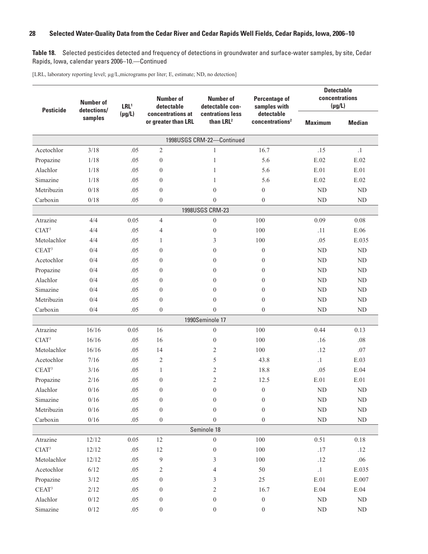**Table 18.** Selected pesticides detected and frequency of detections in groundwater and surface-water samples, by site, Cedar Rapids, Iowa, calendar years 2006–10.—Continued

[LRL, laboratory reporting level; µg/L,micrograms per liter; E, estimate; ND, no detection]

| <b>Pesticide</b>  | <b>Number of</b><br>detections/ | LRL <sup>1</sup> | <b>Number of</b><br>detectable           | <b>Number of</b><br>detectable con-       | <b>Percentage of</b><br>samples with      | <b>Detectable</b><br>concentrations<br>$(\mu g/L)$ |                               |
|-------------------|---------------------------------|------------------|------------------------------------------|-------------------------------------------|-------------------------------------------|----------------------------------------------------|-------------------------------|
|                   | samples                         | $(\mu g/L)$      | concentrations at<br>or greater than LRL | centrations less<br>than LRL <sup>2</sup> | detectable<br>concentrations <sup>2</sup> | <b>Maximum</b>                                     | <b>Median</b>                 |
|                   |                                 |                  |                                          | 1998USGS CRM-22-Continued                 |                                           |                                                    |                               |
| Acetochlor        | 3/18                            | .05              | $\overline{2}$                           | 1                                         | 16.7                                      | .15                                                | $\cdot$ 1                     |
| Propazine         | 1/18                            | .05              | $\boldsymbol{0}$                         | $\mathbf{1}$                              | 5.6                                       | E.02                                               | E.02                          |
| Alachlor          | 1/18                            | .05              | $\theta$                                 | 1                                         | 5.6                                       | E.01                                               | E.01                          |
| Simazine          | 1/18                            | .05              | $\theta$                                 | 1                                         | 5.6                                       | E.02                                               | E.02                          |
| Metribuzin        | 0/18                            | .05              | $\theta$                                 | $\overline{0}$                            | $\boldsymbol{0}$                          | $\rm ND$                                           | $\rm ND$                      |
| Carboxin          | 0/18                            | .05              | $\boldsymbol{0}$                         | $\theta$                                  | $\boldsymbol{0}$                          | ND                                                 | ND                            |
|                   |                                 |                  |                                          | 1998USGS CRM-23                           |                                           |                                                    |                               |
| Atrazine          | 4/4                             | 0.05             | $\overline{4}$                           | $\overline{0}$                            | 100                                       | 0.09                                               | 0.08                          |
| CIAT <sup>3</sup> | 4/4                             | .05              | $\overline{4}$                           | $\boldsymbol{0}$                          | 100                                       | .11                                                | E.06                          |
| Metolachlor       | 4/4                             | .05              | 1                                        | 3                                         | 100                                       | .05                                                | E.035                         |
| CEAT <sup>3</sup> | 0/4                             | .05              | $\theta$                                 | $\mathbf{0}$                              | $\overline{0}$                            | ND                                                 | $\rm ND$                      |
| Acetochlor        | 0/4                             | .05              | $\theta$                                 | $\mathbf{0}$                              | $\theta$                                  | ND                                                 | $\rm ND$                      |
| Propazine         | 0/4                             | .05              | $\theta$                                 | $\mathbf{0}$                              | $\boldsymbol{0}$                          | ND                                                 | $\rm ND$                      |
| Alachlor          | 0/4                             | .05              | $\theta$                                 | $\overline{0}$                            | $\overline{0}$                            | ND                                                 | $\rm ND$                      |
| Simazine          | 0/4                             | .05              | $\boldsymbol{0}$                         | $\mathbf{0}$                              | $\boldsymbol{0}$                          | ND                                                 | $\rm ND$                      |
| Metribuzin        | 0/4                             | .05              | $\theta$                                 | $\mathbf{0}$                              | $\theta$                                  | ND                                                 | ${\rm ND}$                    |
| Carboxin          | 0/4                             | .05              | $\boldsymbol{0}$                         | $\theta$                                  | $\theta$                                  | ND                                                 | ${\rm ND}$                    |
|                   |                                 |                  |                                          | 1990Seminole 17                           |                                           |                                                    |                               |
| Atrazine          | 16/16                           | 0.05             | 16                                       | $\boldsymbol{0}$                          | 100                                       | 0.44                                               | 0.13                          |
| CIAT <sup>3</sup> | 16/16                           | .05              | 16                                       | $\mathbf{0}$                              | 100                                       | .16                                                | .08                           |
| Metolachlor       | 16/16                           | .05              | 14                                       | 2                                         | 100                                       | .12                                                | .07                           |
| Acetochlor        | 7/16                            | .05              | $\mathfrak{2}$                           | 5                                         | 43.8                                      | $\cdot$ 1                                          | E.03                          |
| CEAT <sup>3</sup> | 3/16                            | .05              | $\mathbf{1}$                             | $\mathfrak{2}$                            | 18.8                                      | .05                                                | E.04                          |
| Propazine         | 2/16                            | .05              | $\theta$                                 | 2                                         | 12.5                                      | E.01                                               | E.01                          |
| Alachlor          | 0/16                            | .05              | $\mathbf{0}$                             | $\boldsymbol{0}$                          | $\boldsymbol{0}$                          | <b>ND</b>                                          | ND                            |
| Simazine          | $0/16$                          | .05              | $\boldsymbol{0}$                         | $\boldsymbol{0}$                          | $\boldsymbol{0}$                          | $\rm ND$                                           | $\rm ND$                      |
| Metribuzin        | $0/16$                          | .05              | $\boldsymbol{0}$                         | $\overline{0}$                            | $\boldsymbol{0}$                          | $\rm ND$                                           | $\rm ND$                      |
| Carboxin          | 0/16                            | .05              | $\boldsymbol{0}$                         | $\boldsymbol{0}$                          | $\boldsymbol{0}$                          | $\rm ND$                                           | $\rm ND$                      |
|                   |                                 |                  |                                          | Seminole 18                               |                                           |                                                    |                               |
| Atrazine          | 12/12                           | 0.05             | $12\,$                                   | $\boldsymbol{0}$                          | $100\,$                                   | 0.51                                               | $0.18\,$                      |
| CIAT <sup>3</sup> | 12/12                           | .05              | 12                                       | $\boldsymbol{0}$                          | $100\,$                                   | $.17$                                              | .12                           |
| Metolachlor       | 12/12                           | .05              | 9                                        | 3                                         | $100\,$                                   | .12                                                | .06                           |
| Acetochlor        | 6/12                            | .05              | $\sqrt{2}$                               | 4                                         | 50                                        | $\cdot$ 1                                          | E.035                         |
| Propazine         | $3/12$                          | .05              | $\boldsymbol{0}$                         | 3                                         | 25                                        | $\rm E.01$                                         | $\boldsymbol{\mathrm{E.007}}$ |
| $CEAT^3$          | 2/12                            | .05              | $\boldsymbol{0}$                         | 2                                         | 16.7                                      | E.04                                               | E.04                          |
| Alachlor          | $0/12$                          | .05              | $\boldsymbol{0}$                         | $\boldsymbol{0}$                          | $\boldsymbol{0}$                          | $\rm ND$                                           | $\rm ND$                      |
| Simazine          | $0/12$                          | .05              | $\boldsymbol{0}$                         | $\boldsymbol{0}$                          | $\boldsymbol{0}$                          | $\rm ND$                                           | $\rm ND$                      |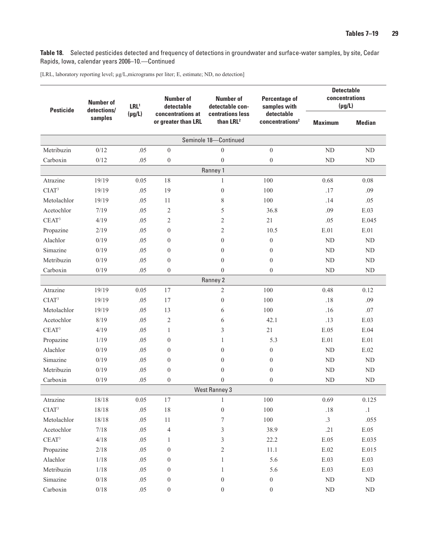**Table 18.** Selected pesticides detected and frequency of detections in groundwater and surface-water samples, by site, Cedar Rapids, Iowa, calendar years 2006–10.—Continued

[LRL, laboratory reporting level; µg/L,micrograms per liter; E, estimate; ND, no detection]

| <b>Pesticide</b>  | <b>Number of</b><br>detections/ | LRL <sup>1</sup> | <b>Number of</b><br>detectable           | <b>Number of</b><br>detectable con-       | <b>Percentage of</b><br>samples with      | <b>Detectable</b><br>concentrations<br>$(\mu g/L)$ |               |
|-------------------|---------------------------------|------------------|------------------------------------------|-------------------------------------------|-------------------------------------------|----------------------------------------------------|---------------|
|                   | samples                         | $(\mu g/L)$      | concentrations at<br>or greater than LRL | centrations less<br>than LRL <sup>2</sup> | detectable<br>concentrations <sup>2</sup> | <b>Maximum</b>                                     | <b>Median</b> |
|                   |                                 |                  |                                          | Seminole 18-Continued                     |                                           |                                                    |               |
| Metribuzin        | 0/12                            | .05              | $\mathbf{0}$                             | $\boldsymbol{0}$                          | $\mathbf{0}$                              | ND                                                 | ND            |
| Carboxin          | 0/12                            | .05              | $\boldsymbol{0}$                         | $\boldsymbol{0}$                          | $\boldsymbol{0}$                          | <b>ND</b>                                          | ND            |
|                   |                                 |                  |                                          | Ranney 1                                  |                                           |                                                    |               |
| Atrazine          | 19/19                           | 0.05             | 18                                       | $\mathbf{1}$                              | 100                                       | 0.68                                               | 0.08          |
| CIAT <sup>3</sup> | 19/19                           | .05              | 19                                       | $\overline{0}$                            | 100                                       | .17                                                | .09           |
| Metolachlor       | 19/19                           | .05              | 11                                       | 8                                         | 100                                       | .14                                                | .05           |
| Acetochlor        | 7/19                            | .05              | $\overline{2}$                           | 5                                         | 36.8                                      | .09                                                | E.03          |
| CEAT <sup>3</sup> | 4/19                            | .05              | $\overline{2}$                           | $\overline{2}$                            | 21                                        | .05                                                | E.045         |
| Propazine         | 2/19                            | .05              | $\overline{0}$                           | $\mathfrak{2}$                            | 10.5                                      | E.01                                               | E.01          |
| Alachlor          | 0/19                            | .05              | $\mathbf{0}$                             | $\overline{0}$                            | $\theta$                                  | ND                                                 | ND            |
| Simazine          | 0/19                            | .05              | $\mathbf{0}$                             | $\overline{0}$                            | $\overline{0}$                            | ND                                                 | $\rm ND$      |
| Metribuzin        | 0/19                            | .05              | $\overline{0}$                           | $\overline{0}$                            | $\theta$                                  | ND                                                 | ND            |
| Carboxin          | 0/19                            | .05              | $\mathbf{0}$                             | $\overline{0}$                            | $\theta$                                  | ND                                                 | ND            |
|                   |                                 |                  |                                          | Ranney 2                                  |                                           |                                                    |               |
| Atrazine          | 19/19                           | 0.05             | 17                                       | $\mathfrak{2}$                            | 100                                       | 0.48                                               | 0.12          |
| CIAT <sup>3</sup> | 19/19                           | .05              | 17                                       | $\boldsymbol{0}$                          | 100                                       | .18                                                | .09           |
| Metolachlor       | 19/19                           | .05              | 13                                       | 6                                         | 100                                       | .16                                                | .07           |
| Acetochlor        | 8/19                            | .05              | $\overline{2}$                           | 6                                         | 42.1                                      | .13                                                | E.03          |
| CEAT <sup>3</sup> | 4/19                            | .05              | $\mathbf{1}$                             | 3                                         | 21                                        | E.05                                               | E.04          |
| Propazine         | 1/19                            | .05              | $\overline{0}$                           | 1                                         | 5.3                                       | E.01                                               | E.01          |
| Alachlor          | 0/19                            | .05              | $\mathbf{0}$                             | $\overline{0}$                            | $\theta$                                  | ND                                                 | E.02          |
| Simazine          | 0/19                            | .05              | $\mathbf{0}$                             | $\overline{0}$                            | $\theta$                                  | ND                                                 | ND            |
| Metribuzin        | 0/19                            | .05              | $\overline{0}$                           | $\boldsymbol{0}$                          | $\boldsymbol{0}$                          | ND                                                 | ND            |
| Carboxin          | 0/19                            | .05              | $\overline{0}$                           | $\Omega$                                  | $\theta$                                  | N <sub>D</sub>                                     | ND            |
|                   |                                 |                  |                                          | <b>West Ranney 3</b>                      |                                           |                                                    |               |
| Atrazine          | $18/18$                         | 0.05             | 17                                       | 1                                         | 100                                       | 0.69                                               | 0.125         |
| CIAT <sup>3</sup> | 18/18                           | .05              | 18                                       | $\boldsymbol{0}$                          | $100\,$                                   | $.18\,$                                            | $\cdot^1$     |
| Metolachlor       | 18/18                           | .05              | $11\,$                                   | 7                                         | $100\,$                                   | $\cdot$ 3                                          | .055          |
| Acetochlor        | $7/18$                          | .05              | 4                                        | 3                                         | 38.9                                      | .21                                                | $E.05$        |
| CEAT <sup>3</sup> | 4/18                            | .05              | $\mathbf{1}$                             | 3                                         | 22.2                                      | E.05                                               | E.035         |
| Propazine         | $2/18$                          | .05              | $\boldsymbol{0}$                         | $\sqrt{2}$                                | 11.1                                      | $\rm E.02$                                         | E.015         |
| Alachlor          | $1/18$                          | .05              | $\boldsymbol{0}$                         | 1                                         | 5.6                                       | $\boldsymbol{\mathrm{E.03}}$                       | E.03          |
| Metribuzin        | $1/18$                          | .05              | $\boldsymbol{0}$                         | 1                                         | 5.6                                       | $\boldsymbol{\mathrm{E.03}}$                       | E.03          |
| Simazine          | $0/18$                          | .05              | $\boldsymbol{0}$                         | $\mathbf{0}$                              | $\boldsymbol{0}$                          | $\rm ND$                                           | $\rm ND$      |
| Carboxin          | $0/18\,$                        | .05              | $\boldsymbol{0}$                         | $\boldsymbol{0}$                          | $\boldsymbol{0}$                          | $\rm ND$                                           | $\rm ND$      |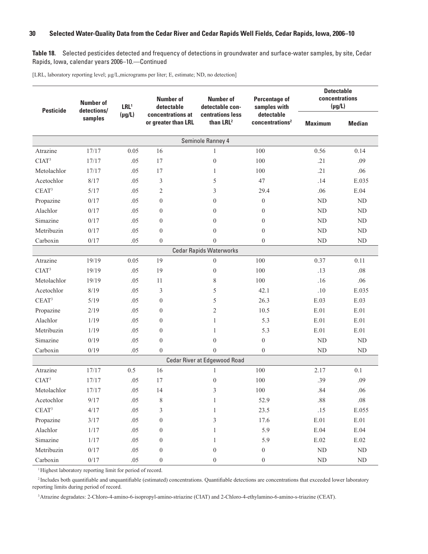**Table 18.** Selected pesticides detected and frequency of detections in groundwater and surface-water samples, by site, Cedar Rapids, Iowa, calendar years 2006–10.—Continued

[LRL, laboratory reporting level; µg/L,micrograms per liter; E, estimate; ND, no detection]

| <b>Pesticide</b>  | <b>Number of</b><br>detections/ | LRL <sup>1</sup> | <b>Number of</b><br>detectable           | <b>Number of</b><br>detectable con-       | <b>Percentage of</b><br>samples with      | <b>Detectable</b><br>concentrations<br>$(\mu g/L)$ |               |
|-------------------|---------------------------------|------------------|------------------------------------------|-------------------------------------------|-------------------------------------------|----------------------------------------------------|---------------|
|                   | samples                         | $(\mu g/L)$      | concentrations at<br>or greater than LRL | centrations less<br>than LRL <sup>2</sup> | detectable<br>concentrations <sup>2</sup> | <b>Maximum</b>                                     | <b>Median</b> |
|                   |                                 |                  |                                          | Seminole Ranney 4                         |                                           |                                                    |               |
| Atrazine          | 17/17                           | 0.05             | 16                                       | $\mathbf{1}$                              | 100                                       | 0.56                                               | 0.14          |
| CIAT <sup>3</sup> | 17/17                           | .05              | 17                                       | $\boldsymbol{0}$                          | 100                                       | .21                                                | .09           |
| Metolachlor       | 17/17                           | .05              | 17                                       | $\mathbf{1}$                              | 100                                       | .21                                                | .06           |
| Acetochlor        | 8/17                            | .05              | 3                                        | 5                                         | 47                                        | .14                                                | E.035         |
| CEAT <sup>3</sup> | 5/17                            | .05              | $\overline{2}$                           | 3                                         | 29.4                                      | .06                                                | E.04          |
| Propazine         | 0/17                            | .05              | $\mathbf{0}$                             | $\overline{0}$                            | $\mathbf{0}$                              | ND                                                 | ND            |
| Alachlor          | 0/17                            | .05              | $\boldsymbol{0}$                         | $\overline{0}$                            | $\boldsymbol{0}$                          | <b>ND</b>                                          | ND            |
| Simazine          | 0/17                            | .05              | $\mathbf{0}$                             | $\overline{0}$                            | $\mathbf{0}$                              | ND                                                 | ${\rm ND}$    |
| Metribuzin        | 0/17                            | .05              | $\mathbf{0}$                             | $\mathbf{0}$                              | $\mathbf{0}$                              | ND                                                 | ND            |
| Carboxin          | 0/17                            | .05              | $\overline{0}$                           | $\overline{0}$                            | $\boldsymbol{0}$                          | ND                                                 | ND            |
|                   |                                 |                  |                                          | <b>Cedar Rapids Waterworks</b>            |                                           |                                                    |               |
| Atrazine          | 19/19                           | 0.05             | 19                                       | $\boldsymbol{0}$                          | 100                                       | 0.37                                               | 0.11          |
| CIAT <sup>3</sup> | 19/19                           | .05              | 19                                       | $\overline{0}$                            | 100                                       | .13                                                | .08           |
| Metolachlor       | 19/19                           | .05              | 11                                       | 8                                         | 100                                       | .16                                                | .06           |
| Acetochlor        | 8/19                            | .05              | 3                                        | 5                                         | 42.1                                      | .10                                                | E.035         |
| CEAT <sup>3</sup> | 5/19                            | .05              | $\mathbf{0}$                             | 5                                         | 26.3                                      | E.03                                               | E.03          |
| Propazine         | 2/19                            | .05              | $\mathbf{0}$                             | $\overline{c}$                            | 10.5                                      | E.01                                               | E.01          |
| Alachlor          | 1/19                            | .05              | $\boldsymbol{0}$                         | $\mathbf{1}$                              | 5.3                                       | E.01                                               | $E.01$        |
| Metribuzin        | 1/19                            | .05              | $\mathbf{0}$                             | $\mathbf{1}$                              | 5.3                                       | E.01                                               | E.01          |
| Simazine          | 0/19                            | .05              | $\boldsymbol{0}$                         | $\mathbf{0}$                              | $\boldsymbol{0}$                          | ND                                                 | ND            |
| Carboxin          | 0/19                            | .05              | $\theta$                                 | $\theta$                                  | $\mathbf{0}$                              | ND                                                 | ND            |
|                   |                                 |                  |                                          | Cedar River at Edgewood Road              |                                           |                                                    |               |
| Atrazine          | 17/17                           | 0.5              | 16                                       | 1                                         | 100                                       | 2.17                                               | 0.1           |
| CIAT <sup>3</sup> | 17/17                           | .05              | 17                                       | $\boldsymbol{0}$                          | 100                                       | .39                                                | .09           |
| Metolachlor       | 17/17                           | .05              | 14                                       | 3                                         | 100                                       | .84                                                | .06           |
| Acetochlor        | $9/17$                          | .05              | $\,$ 8 $\,$                              | 1                                         | 52.9                                      | $.88\,$                                            | $.08\,$       |
| CEAT <sup>3</sup> | 4/17                            | .05              | 3                                        | $\mathbf{1}$                              | 23.5                                      | .15                                                | E.055         |
| Propazine         | $3/17$                          | .05              | $\boldsymbol{0}$                         | $\mathfrak{Z}$                            | 17.6                                      | E.01                                               | $\rm E.01$    |
| Alachlor          | $1/17$                          | .05              | $\boldsymbol{0}$                         | 1                                         | 5.9                                       | $\boldsymbol{\mathrm{E}.04}$                       | $E.04$        |
| Simazine          | 1/17                            | .05              | $\boldsymbol{0}$                         | 1                                         | 5.9                                       | $\rm E.02$                                         | $\rm E.02$    |
| Metribuzin        | $0/17$                          | .05              | $\boldsymbol{0}$                         | $\boldsymbol{0}$                          | $\boldsymbol{0}$                          | $\rm ND$                                           | ND            |
| Carboxin          | $0/17$                          | .05              | $\boldsymbol{0}$                         | $\boldsymbol{0}$                          | $\boldsymbol{0}$                          | $\rm ND$                                           | $\rm ND$      |

<sup>1</sup>Highest laboratory reporting limit for period of record.

<sup>2</sup> Includes both quantifiable and unquantifiable (estimated) concentrations. Quantifiable detections are concentrations that exceeded lower laboratory reporting limits during period of record.

<sup>3</sup>Atrazine degradates: 2-Chloro-4-amino-6-isopropyl-amino-striazine (CIAT) and 2-Chloro-4-ethylamino-6-amino-s-triazine (CEAT).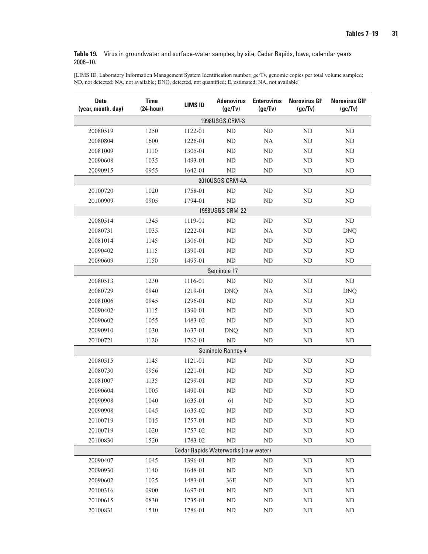#### <span id="page-38-0"></span>**Table 19.** Virus in groundwater and surface-water samples, by site, Cedar Rapids, Iowa, calendar years 2006–10.

[LIMS ID, Laboratory Information Management System Identification number; gc/Tv, genomic copies per total volume sampled; ND, not detected; NA, not available; DNQ, detected, not quantified; E, estimated; NA, not available]

| <b>Date</b><br>(year, month, day) | <b>Time</b><br>$(24-hour)$ | <b>LIMS ID</b> | <b>Adenovirus</b><br>(gc/Tv)        | <b>Enterovirus</b><br>(gc/Tv) | Norovirus GI <sup>1</sup><br>(gc/Tv) | Norovirus GII <sup>1</sup><br>(gc/Tv) |  |  |
|-----------------------------------|----------------------------|----------------|-------------------------------------|-------------------------------|--------------------------------------|---------------------------------------|--|--|
| <b>1998USGS CRM-3</b>             |                            |                |                                     |                               |                                      |                                       |  |  |
| 20080519                          | 1250                       | 1122-01        | ND                                  | ND                            | ND                                   | $\rm ND$                              |  |  |
| 20080804                          | 1600                       | 1226-01        | ND                                  | NA                            | ND                                   | ND                                    |  |  |
| 20081009                          | 1110                       | 1305-01        | $\rm ND$                            | ND                            | ND                                   | $\rm ND$                              |  |  |
| 20090608                          | 1035                       | 1493-01        | ND                                  | ND                            | ND                                   | ND                                    |  |  |
| 20090915                          | 0955                       | 1642-01        | N <sub>D</sub>                      | ND                            | ND                                   | ND                                    |  |  |
|                                   |                            |                | 2010USGS CRM-4A                     |                               |                                      |                                       |  |  |
| 20100720                          | 1020                       | 1758-01        | ND                                  | ND                            | ND                                   | ND                                    |  |  |
| 20100909                          | 0905                       | 1794-01        | <b>ND</b>                           | ND                            | ND                                   | ND                                    |  |  |
|                                   |                            |                | 1998USGS CRM-22                     |                               |                                      |                                       |  |  |
| 20080514                          | 1345                       | 1119-01        | ND                                  | ND                            | N <sub>D</sub>                       | ND                                    |  |  |
| 20080731                          | 1035                       | 1222-01        | ND                                  | NA                            | <b>ND</b>                            | <b>DNQ</b>                            |  |  |
| 20081014                          | 1145                       | 1306-01        | N <sub>D</sub>                      | ND                            | ND                                   | ND                                    |  |  |
| 20090402                          | 1115                       | 1390-01        | ND                                  | ND                            | ND                                   | $\rm ND$                              |  |  |
| 20090609                          | 1150                       | 1495-01        | ND                                  | ND                            | ND                                   | ${\rm ND}$                            |  |  |
|                                   |                            |                | Seminole 17                         |                               |                                      |                                       |  |  |
| 20080513                          | 1230                       | 1116-01        | ND                                  | ND                            | ND                                   | ND                                    |  |  |
| 20080729                          | 0940                       | 1219-01        | <b>DNQ</b>                          | NA                            | <b>ND</b>                            | <b>DNQ</b>                            |  |  |
| 20081006                          | 0945                       | 1296-01        | ND                                  | ND                            | ND                                   | $\rm ND$                              |  |  |
| 20090402                          | 1115                       | 1390-01        | ND                                  | ND                            | ND                                   | $\rm ND$                              |  |  |
| 20090602                          | 1055                       | 1483-02        | ND                                  | ND                            | ND                                   | ND                                    |  |  |
| 20090910                          | 1030                       | 1637-01        | <b>DNQ</b>                          | ND                            | <b>ND</b>                            | $\rm ND$                              |  |  |
| 20100721                          | 1120                       | 1762-01        | ND                                  | ND                            | ND                                   | ${\rm ND}$                            |  |  |
|                                   |                            |                | Seminole Ranney 4                   |                               |                                      |                                       |  |  |
| 20080515                          | 1145                       | 1121-01        | ND                                  | ND                            | ND                                   | ND                                    |  |  |
| 20080730                          | 0956                       | 1221-01        | N <sub>D</sub>                      | ND                            | ND                                   | ND                                    |  |  |
| 20081007                          | 1135                       | 1299-01        | ND                                  | ND                            | ND                                   | ND                                    |  |  |
| 20090604                          | 1005                       | 1490-01        | ND                                  | ND                            | ND                                   | ND                                    |  |  |
| 20090908                          | 1040                       | 1635-01        | 61                                  | ND                            | <b>ND</b>                            | ND                                    |  |  |
| 20090908                          | 1045                       | 1635-02        | ND                                  | ND                            | ND                                   | ND                                    |  |  |
| 20100719                          | 1015                       | 1757-01        | ${\rm ND}$                          | ${\rm ND}$                    | ND                                   | ${\rm ND}$                            |  |  |
| 20100719                          | 1020                       | 1757-02        | ${\rm ND}$                          | ND                            | ND                                   | $\rm ND$                              |  |  |
| 20100830                          | 1520                       | 1783-02        | ${\rm ND}$                          | $\rm ND$                      | ND                                   | $\rm ND$                              |  |  |
|                                   |                            |                | Cedar Rapids Waterworks (raw water) |                               |                                      |                                       |  |  |
| 20090407                          | 1045                       | 1396-01        | $\rm ND$                            | ND                            | ND                                   | ND                                    |  |  |
| 20090930                          | 1140                       | 1648-01        | ${\rm ND}$                          | ND                            | ND                                   | $\rm ND$                              |  |  |
| 20090602                          | 1025                       | 1483-01        | 36E                                 | ND                            | ND                                   | ND                                    |  |  |
| 20100316                          | 0900                       | 1697-01        | $\rm ND$                            | ND                            | ND                                   | $\rm ND$                              |  |  |
| 20100615                          | 0830                       | 1735-01        | $\rm ND$                            | ND                            | ND                                   | $\rm ND$                              |  |  |
| 20100831                          | 1510                       | 1786-01        | $\rm ND$                            | ND                            | ND                                   | ND                                    |  |  |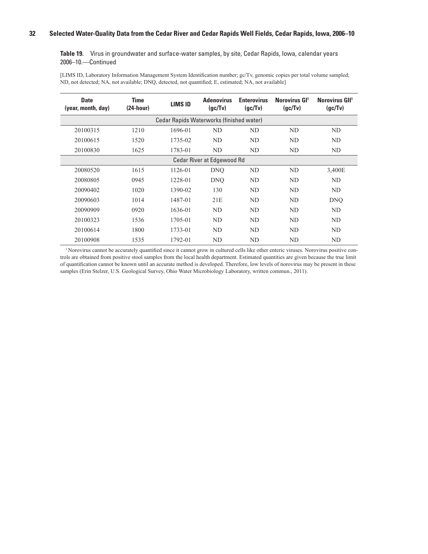**Table 19.** Virus in groundwater and surface-water samples, by site, Cedar Rapids, Iowa, calendar years 2006–10.—Continued

[LIMS ID, Laboratory Information Management System Identification number; gc/Tv, genomic copies per total volume sampled; ND, not detected; NA, not available; DNQ, detected, not quantified; E, estimated; NA, not available]

| <b>Date</b><br>(year, month, day) | <b>Time</b><br>$(24-hour)$ | <b>LIMS ID</b>                           | <b>Adenovirus</b><br>(gc/Tv)      | <b>Enterovirus</b><br>(qc/Tv) | Norovirus GI <sup>1</sup><br>(gc/Tv) | Norovirus GII <sup>1</sup><br>(qc/Tv) |
|-----------------------------------|----------------------------|------------------------------------------|-----------------------------------|-------------------------------|--------------------------------------|---------------------------------------|
|                                   |                            | Cedar Rapids Waterworks (finished water) |                                   |                               |                                      |                                       |
| 20100315                          | 1210                       | 1696-01                                  | ND                                | ND                            | ND                                   | ND                                    |
| 20100615                          | 1520                       | 1735-02                                  | ND                                | ND                            | ND                                   | ND.                                   |
| 20100830                          | 1625                       | 1783-01                                  | ND                                | ND                            | ND                                   | ND                                    |
|                                   |                            |                                          | <b>Cedar River at Edgewood Rd</b> |                               |                                      |                                       |
| 20080520                          | 1615                       | 1126-01                                  | <b>DNO</b>                        | ND                            | ND                                   | 3,400E                                |
| 20080805                          | 0945                       | 1228-01                                  | <b>DNO</b>                        | ND                            | ND                                   | ND.                                   |
| 20090402                          | 1020                       | 1390-02                                  | 130                               | ND                            | ND                                   | ND.                                   |
| 20090603                          | 1014                       | 1487-01                                  | 21E                               | ND.                           | ND                                   | <b>DNQ</b>                            |
| 20090909                          | 0920                       | 1636-01                                  | ND                                | ND                            | ND.                                  | ND.                                   |
| 20100323                          | 1536                       | 1705-01                                  | ND.                               | ND.                           | ND.                                  | ND.                                   |
| 20100614                          | 1800                       | 1733-01                                  | ND                                | ND                            | ND                                   | ND                                    |
| 20100908                          | 1535                       | 1792-01                                  | ND                                | ND                            | ND                                   | ND.                                   |

1  Norovirus cannot be accurately quantified since it cannot grow in cultured cells like other enteric viruses. Norovirus positive controls are obtained from positive stool samples from the local health department. Estimated quantities are given because the true limit of quantification cannot be known until an accurate method is developed. Therefore, low levels of norovirus may be present in these samples (Erin Stelzer, U.S. Geological Survey, Ohio Water Microbiology Laboratory, written commun., 2011).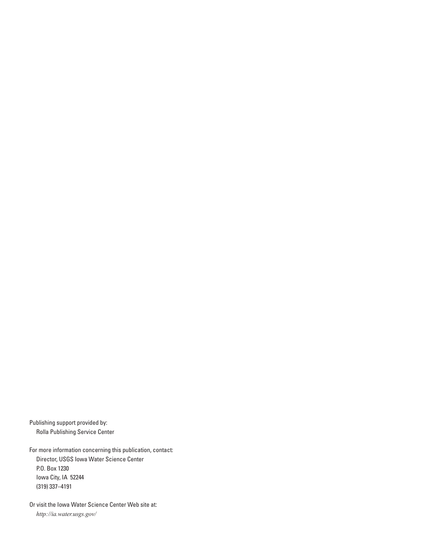Publishing support provided by: Rolla Publishing Service Center

For more information concerning this publication, contact: Director, USGS Iowa Water Science Center P.O. Box 1230 Iowa City, IA 52244 (319) 337–4191

Or visit the Iowa Water Science Center Web site at: *http://ia.water.usgs.gov/*